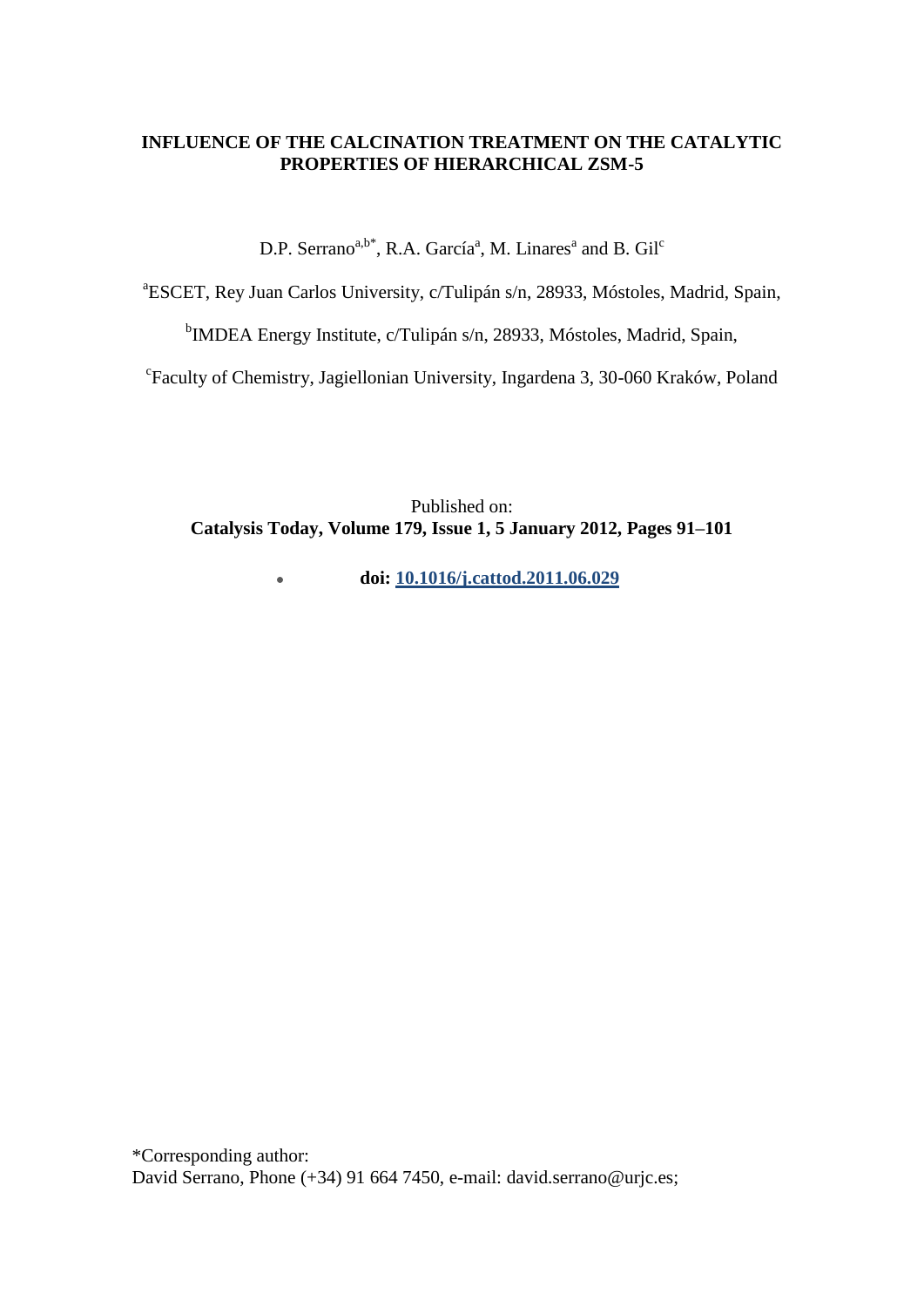# **INFLUENCE OF THE CALCINATION TREATMENT ON THE CATALYTIC PROPERTIES OF HIERARCHICAL ZSM-5**

D.P. Serrano<sup>a,b\*</sup>, R.A. García<sup>a</sup>, M. Linares<sup>a</sup> and B. Gil<sup>c</sup>

a ESCET, Rey Juan Carlos University, c/Tulipán s/n, 28933, Móstoles, Madrid, Spain,

<sup>b</sup>IMDEA Energy Institute, c/Tulipán s/n, 28933, Móstoles, Madrid, Spain,

c Faculty of Chemistry, Jagiellonian University, Ingardena 3, 30-060 Kraków, Poland

Published on: **Catalysis Today, Volume 179, Issue 1, 5 January 2012, Pages 91–101**

> **doi: [10.1016/j.cattod.2011.06.029](http://dx.doi.org/10.1016/j.cattod.2011.06.029)**  $\bullet$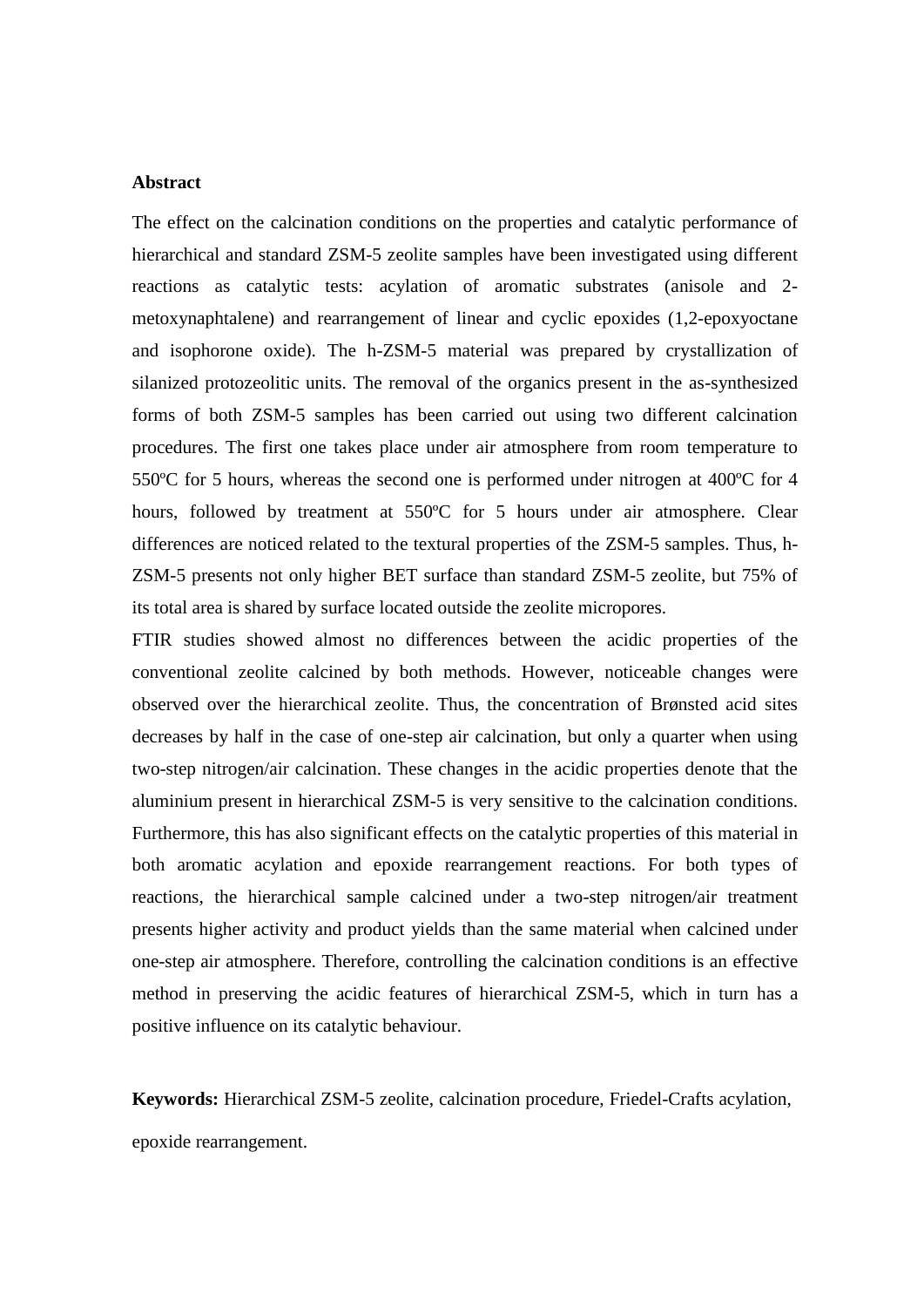### **Abstract**

The effect on the calcination conditions on the properties and catalytic performance of hierarchical and standard ZSM-5 zeolite samples have been investigated using different reactions as catalytic tests: acylation of aromatic substrates (anisole and 2 metoxynaphtalene) and rearrangement of linear and cyclic epoxides (1,2-epoxyoctane and isophorone oxide). The h-ZSM-5 material was prepared by crystallization of silanized protozeolitic units. The removal of the organics present in the as-synthesized forms of both ZSM-5 samples has been carried out using two different calcination procedures. The first one takes place under air atmosphere from room temperature to 550ºC for 5 hours, whereas the second one is performed under nitrogen at 400ºC for 4 hours, followed by treatment at 550ºC for 5 hours under air atmosphere. Clear differences are noticed related to the textural properties of the ZSM-5 samples. Thus, h-ZSM-5 presents not only higher BET surface than standard ZSM-5 zeolite, but 75% of its total area is shared by surface located outside the zeolite micropores.

FTIR studies showed almost no differences between the acidic properties of the conventional zeolite calcined by both methods. However, noticeable changes were observed over the hierarchical zeolite. Thus, the concentration of Brønsted acid sites decreases by half in the case of one-step air calcination, but only a quarter when using two-step nitrogen/air calcination. These changes in the acidic properties denote that the aluminium present in hierarchical ZSM-5 is very sensitive to the calcination conditions. Furthermore, this has also significant effects on the catalytic properties of this material in both aromatic acylation and epoxide rearrangement reactions. For both types of reactions, the hierarchical sample calcined under a two-step nitrogen/air treatment presents higher activity and product yields than the same material when calcined under one-step air atmosphere. Therefore, controlling the calcination conditions is an effective method in preserving the acidic features of hierarchical ZSM-5, which in turn has a positive influence on its catalytic behaviour.

**Keywords:** Hierarchical ZSM-5 zeolite, calcination procedure, Friedel-Crafts acylation, epoxide rearrangement.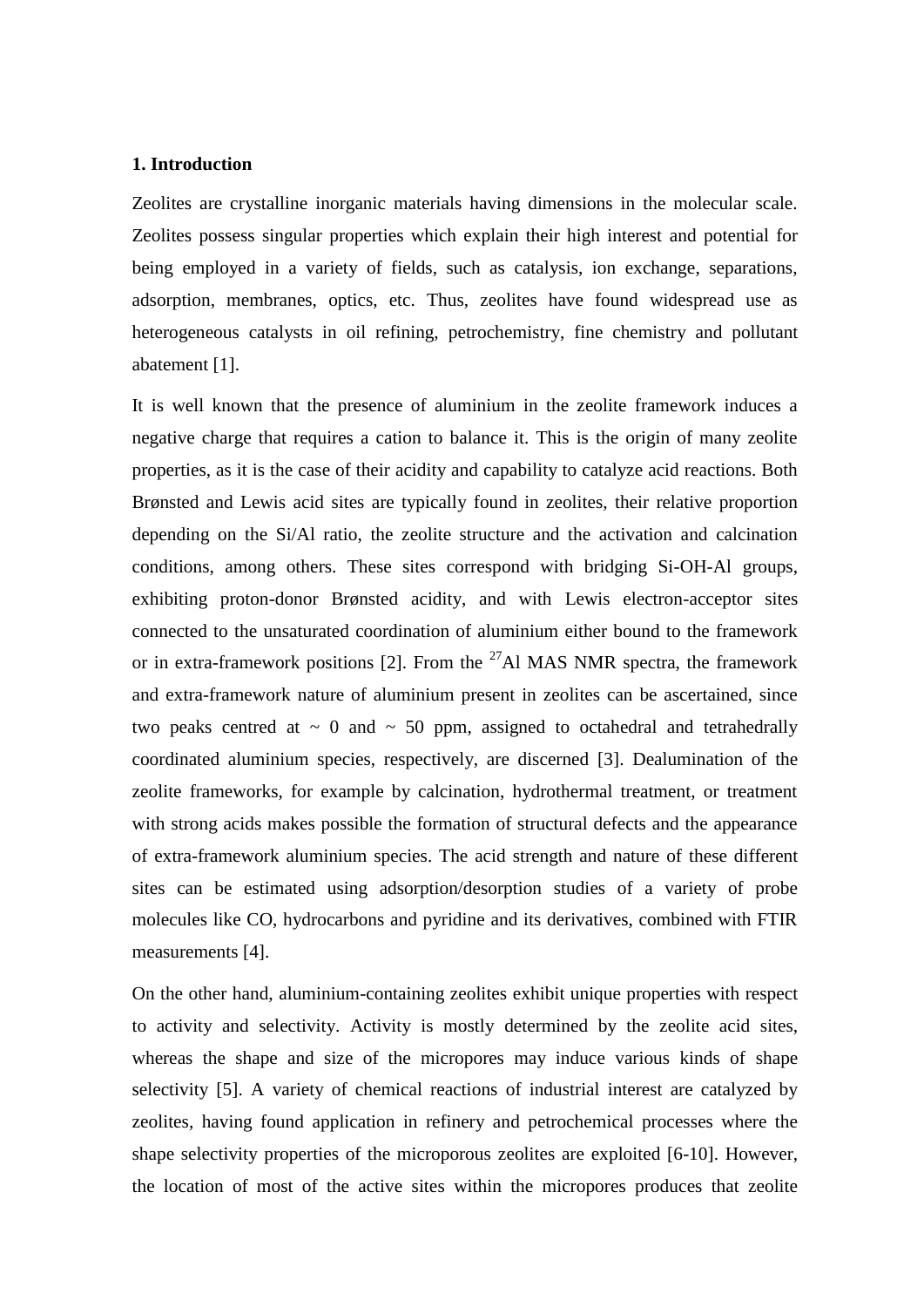# **1. Introduction**

Zeolites are crystalline inorganic materials having dimensions in the molecular scale. Zeolites possess singular properties which explain their high interest and potential for being employed in a variety of fields, such as catalysis, ion exchange, separations, adsorption, membranes, optics, etc. Thus, zeolites have found widespread use as heterogeneous catalysts in oil refining, petrochemistry, fine chemistry and pollutant abatement [1].

It is well known that the presence of aluminium in the zeolite framework induces a negative charge that requires a cation to balance it. This is the origin of many zeolite properties, as it is the case of their acidity and capability to catalyze acid reactions. Both Brønsted and Lewis acid sites are typically found in zeolites, their relative proportion depending on the Si/Al ratio, the zeolite structure and the activation and calcination conditions, among others. These sites correspond with bridging Si-OH-Al groups, exhibiting proton-donor Brønsted acidity, and with Lewis electron-acceptor sites connected to the unsaturated coordination of aluminium either bound to the framework or in extra-framework positions [2]. From the  $^{27}$ Al MAS NMR spectra, the framework and extra-framework nature of aluminium present in zeolites can be ascertained, since two peaks centred at  $\sim 0$  and  $\sim 50$  ppm, assigned to octahedral and tetrahedrally coordinated aluminium species, respectively, are discerned [3]. Dealumination of the zeolite frameworks, for example by calcination, hydrothermal treatment, or treatment with strong acids makes possible the formation of structural defects and the appearance of extra-framework aluminium species. The acid strength and nature of these different sites can be estimated using adsorption/desorption studies of a variety of probe molecules like CO, hydrocarbons and pyridine and its derivatives, combined with FTIR measurements [4].

On the other hand, aluminium-containing zeolites exhibit unique properties with respect to activity and selectivity. Activity is mostly determined by the zeolite acid sites, whereas the shape and size of the micropores may induce various kinds of shape selectivity [5]. A variety of chemical reactions of industrial interest are catalyzed by zeolites, having found application in refinery and petrochemical processes where the shape selectivity properties of the microporous zeolites are exploited [6-10]. However, the location of most of the active sites within the micropores produces that zeolite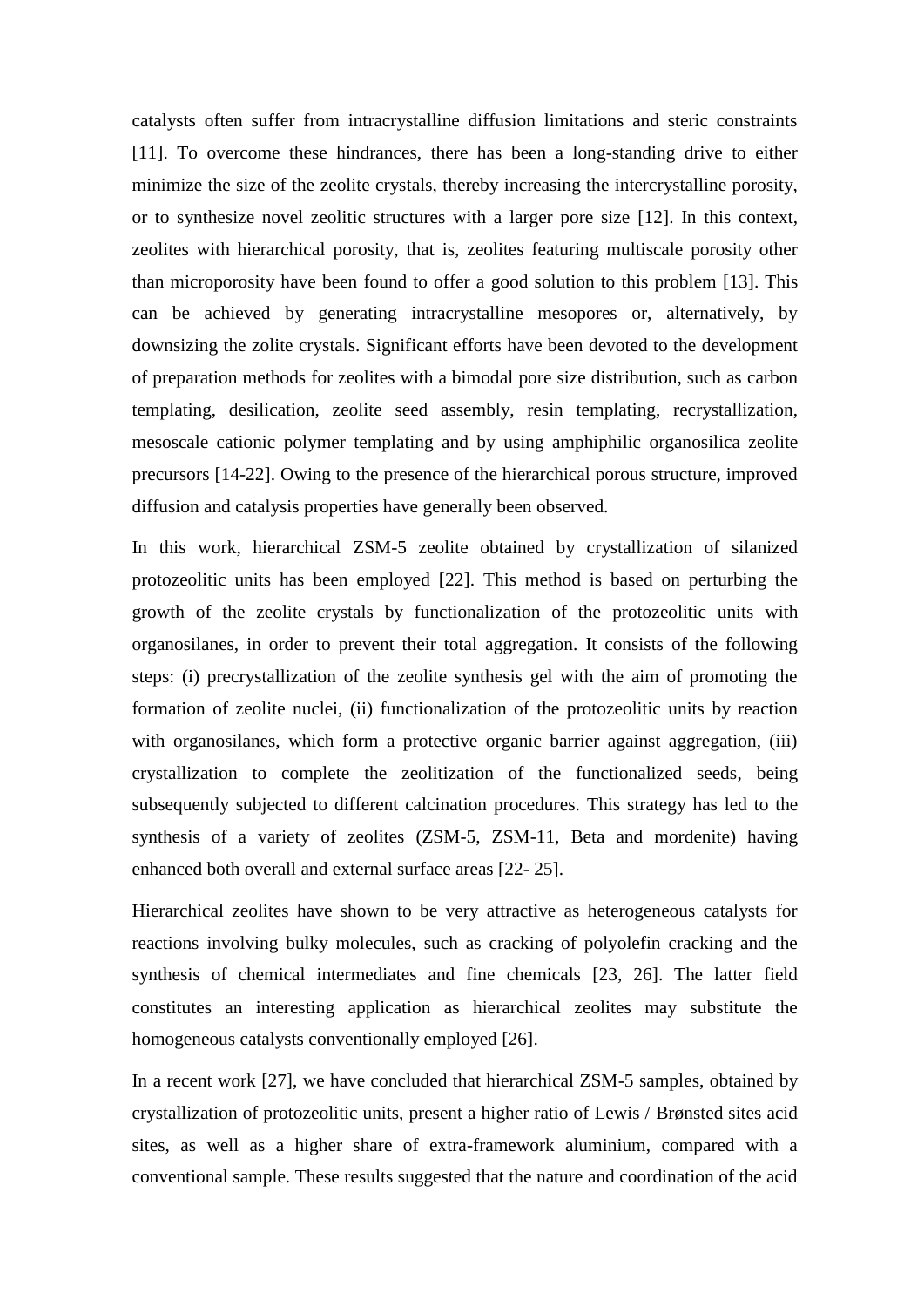catalysts often suffer from intracrystalline diffusion limitations and steric constraints [11]. To overcome these hindrances, there has been a long-standing drive to either minimize the size of the zeolite crystals, thereby increasing the intercrystalline porosity, or to synthesize novel zeolitic structures with a larger pore size [12]. In this context, zeolites with hierarchical porosity, that is, zeolites featuring multiscale porosity other than microporosity have been found to offer a good solution to this problem [13]. This can be achieved by generating intracrystalline mesopores or, alternatively, by downsizing the zolite crystals. Significant efforts have been devoted to the development of preparation methods for zeolites with a bimodal pore size distribution, such as carbon templating, desilication, zeolite seed assembly, resin templating, recrystallization, mesoscale cationic polymer templating and by using amphiphilic organosilica zeolite precursors [14-22]. Owing to the presence of the hierarchical porous structure, improved diffusion and catalysis properties have generally been observed.

In this work, hierarchical ZSM-5 zeolite obtained by crystallization of silanized protozeolitic units has been employed [22]. This method is based on perturbing the growth of the zeolite crystals by functionalization of the protozeolitic units with organosilanes, in order to prevent their total aggregation. It consists of the following steps: (i) precrystallization of the zeolite synthesis gel with the aim of promoting the formation of zeolite nuclei, (ii) functionalization of the protozeolitic units by reaction with organosilanes, which form a protective organic barrier against aggregation, (iii) crystallization to complete the zeolitization of the functionalized seeds, being subsequently subjected to different calcination procedures. This strategy has led to the synthesis of a variety of zeolites (ZSM-5, ZSM-11, Beta and mordenite) having enhanced both overall and external surface areas [22- 25].

Hierarchical zeolites have shown to be very attractive as heterogeneous catalysts for reactions involving bulky molecules, such as cracking of polyolefin cracking and the synthesis of chemical intermediates and fine chemicals [23, 26]. The latter field constitutes an interesting application as hierarchical zeolites may substitute the homogeneous catalysts conventionally employed [26].

In a recent work [27], we have concluded that hierarchical ZSM-5 samples, obtained by crystallization of protozeolitic units, present a higher ratio of Lewis / Brønsted sites acid sites, as well as a higher share of extra-framework aluminium, compared with a conventional sample. These results suggested that the nature and coordination of the acid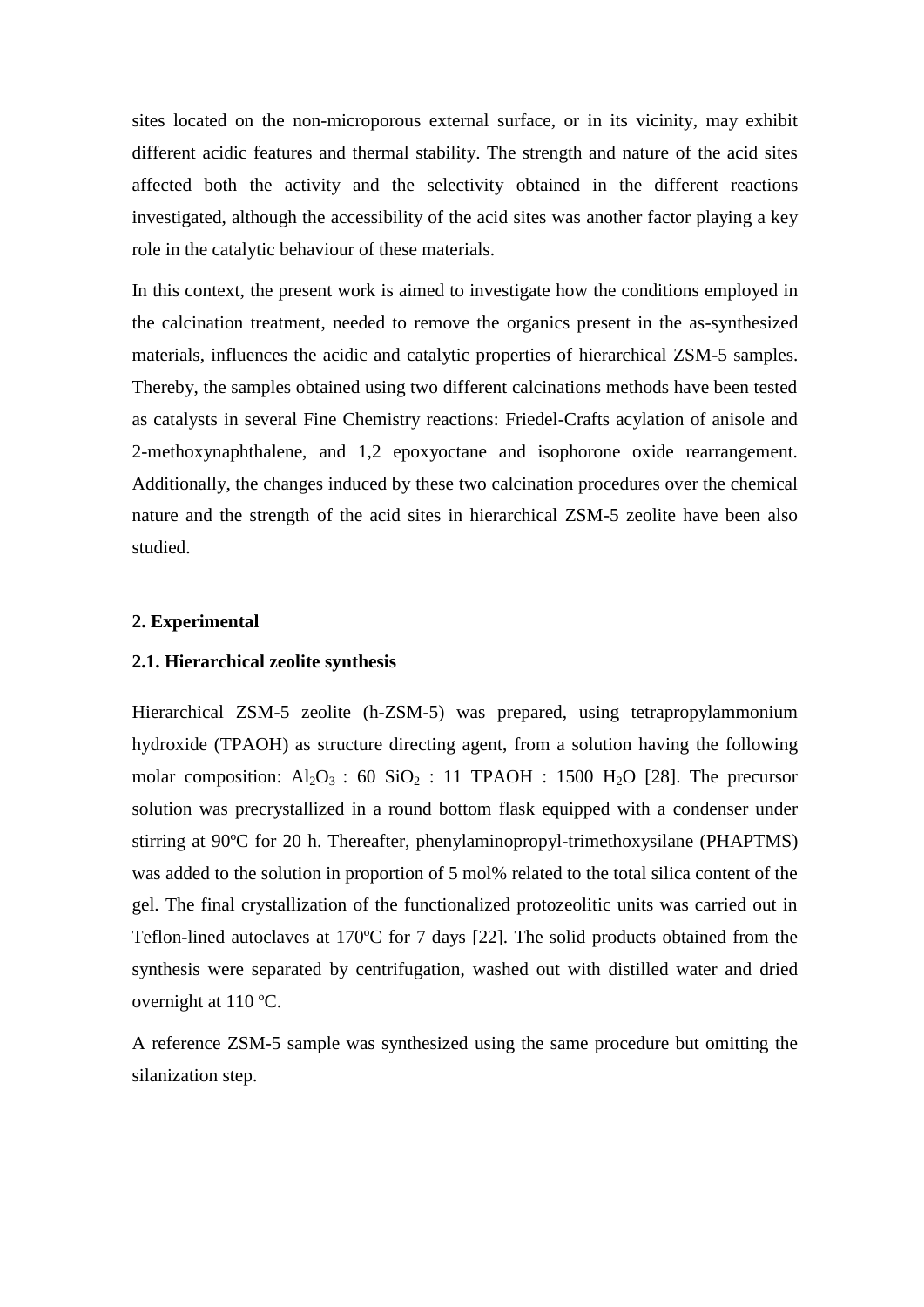sites located on the non-microporous external surface, or in its vicinity, may exhibit different acidic features and thermal stability. The strength and nature of the acid sites affected both the activity and the selectivity obtained in the different reactions investigated, although the accessibility of the acid sites was another factor playing a key role in the catalytic behaviour of these materials.

In this context, the present work is aimed to investigate how the conditions employed in the calcination treatment, needed to remove the organics present in the as-synthesized materials, influences the acidic and catalytic properties of hierarchical ZSM-5 samples. Thereby, the samples obtained using two different calcinations methods have been tested as catalysts in several Fine Chemistry reactions: Friedel-Crafts acylation of anisole and 2-methoxynaphthalene, and 1,2 epoxyoctane and isophorone oxide rearrangement. Additionally, the changes induced by these two calcination procedures over the chemical nature and the strength of the acid sites in hierarchical ZSM-5 zeolite have been also studied.

### **2. Experimental**

## **2.1. Hierarchical zeolite synthesis**

Hierarchical ZSM-5 zeolite (h-ZSM-5) was prepared, using tetrapropylammonium hydroxide (TPAOH) as structure directing agent, from a solution having the following molar composition:  $Al_2O_3$ : 60 SiO<sub>2</sub>: 11 TPAOH: 1500 H<sub>2</sub>O [28]. The precursor solution was precrystallized in a round bottom flask equipped with a condenser under stirring at 90ºC for 20 h. Thereafter, phenylaminopropyl-trimethoxysilane (PHAPTMS) was added to the solution in proportion of 5 mol% related to the total silica content of the gel. The final crystallization of the functionalized protozeolitic units was carried out in Teflon-lined autoclaves at 170ºC for 7 days [22]. The solid products obtained from the synthesis were separated by centrifugation, washed out with distilled water and dried overnight at 110 ºC.

A reference ZSM-5 sample was synthesized using the same procedure but omitting the silanization step.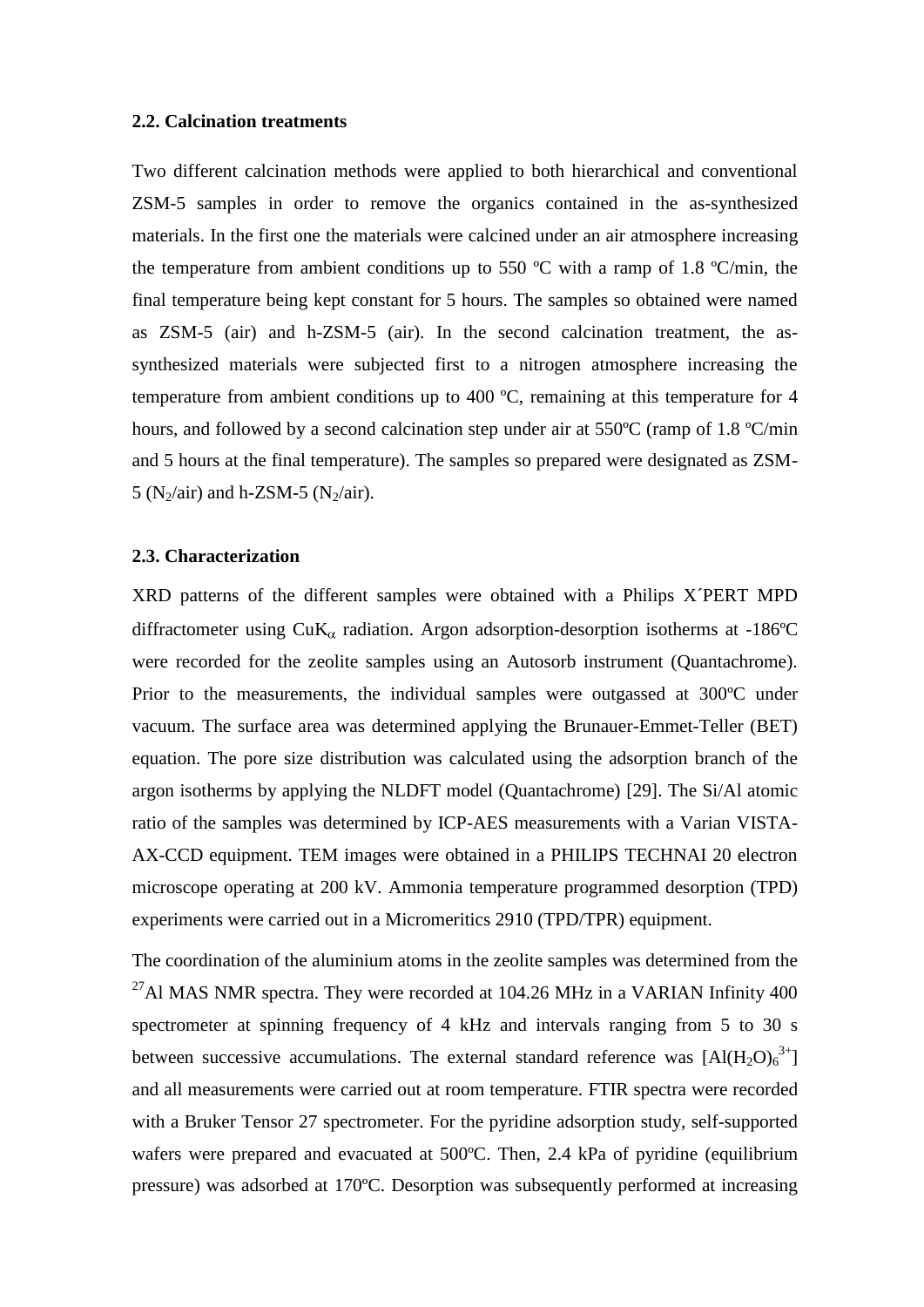#### **2.2. Calcination treatments**

Two different calcination methods were applied to both hierarchical and conventional ZSM-5 samples in order to remove the organics contained in the as-synthesized materials. In the first one the materials were calcined under an air atmosphere increasing the temperature from ambient conditions up to 550  $^{\circ}$ C with a ramp of 1.8  $^{\circ}$ C/min, the final temperature being kept constant for 5 hours. The samples so obtained were named as ZSM-5 (air) and h-ZSM-5 (air). In the second calcination treatment, the assynthesized materials were subjected first to a nitrogen atmosphere increasing the temperature from ambient conditions up to 400 ºC, remaining at this temperature for 4 hours, and followed by a second calcination step under air at 550°C (ramp of 1.8 °C/min and 5 hours at the final temperature). The samples so prepared were designated as ZSM-5 ( $N_2$ /air) and h-ZSM-5 ( $N_2$ /air).

#### **2.3. Characterization**

XRD patterns of the different samples were obtained with a Philips X´PERT MPD diffractometer using  $CuK_{\alpha}$  radiation. Argon adsorption-desorption isotherms at -186°C were recorded for the zeolite samples using an Autosorb instrument (Quantachrome). Prior to the measurements, the individual samples were outgassed at 300ºC under vacuum. The surface area was determined applying the Brunauer-Emmet-Teller (BET) equation. The pore size distribution was calculated using the adsorption branch of the argon isotherms by applying the NLDFT model (Quantachrome) [29]. The Si/Al atomic ratio of the samples was determined by ICP-AES measurements with a Varian VISTA-AX-CCD equipment. TEM images were obtained in a PHILIPS TECHNAI 20 electron microscope operating at 200 kV. Ammonia temperature programmed desorption (TPD) experiments were carried out in a Micromeritics 2910 (TPD/TPR) equipment.

The coordination of the aluminium atoms in the zeolite samples was determined from the <sup>27</sup>Al MAS NMR spectra. They were recorded at 104.26 MHz in a VARIAN Infinity 400 spectrometer at spinning frequency of 4 kHz and intervals ranging from 5 to 30 s between successive accumulations. The external standard reference was  $[A](H_2O)_6^{3+}]$ and all measurements were carried out at room temperature. FTIR spectra were recorded with a Bruker Tensor 27 spectrometer. For the pyridine adsorption study, self-supported wafers were prepared and evacuated at 500ºC. Then, 2.4 kPa of pyridine (equilibrium pressure) was adsorbed at 170ºC. Desorption was subsequently performed at increasing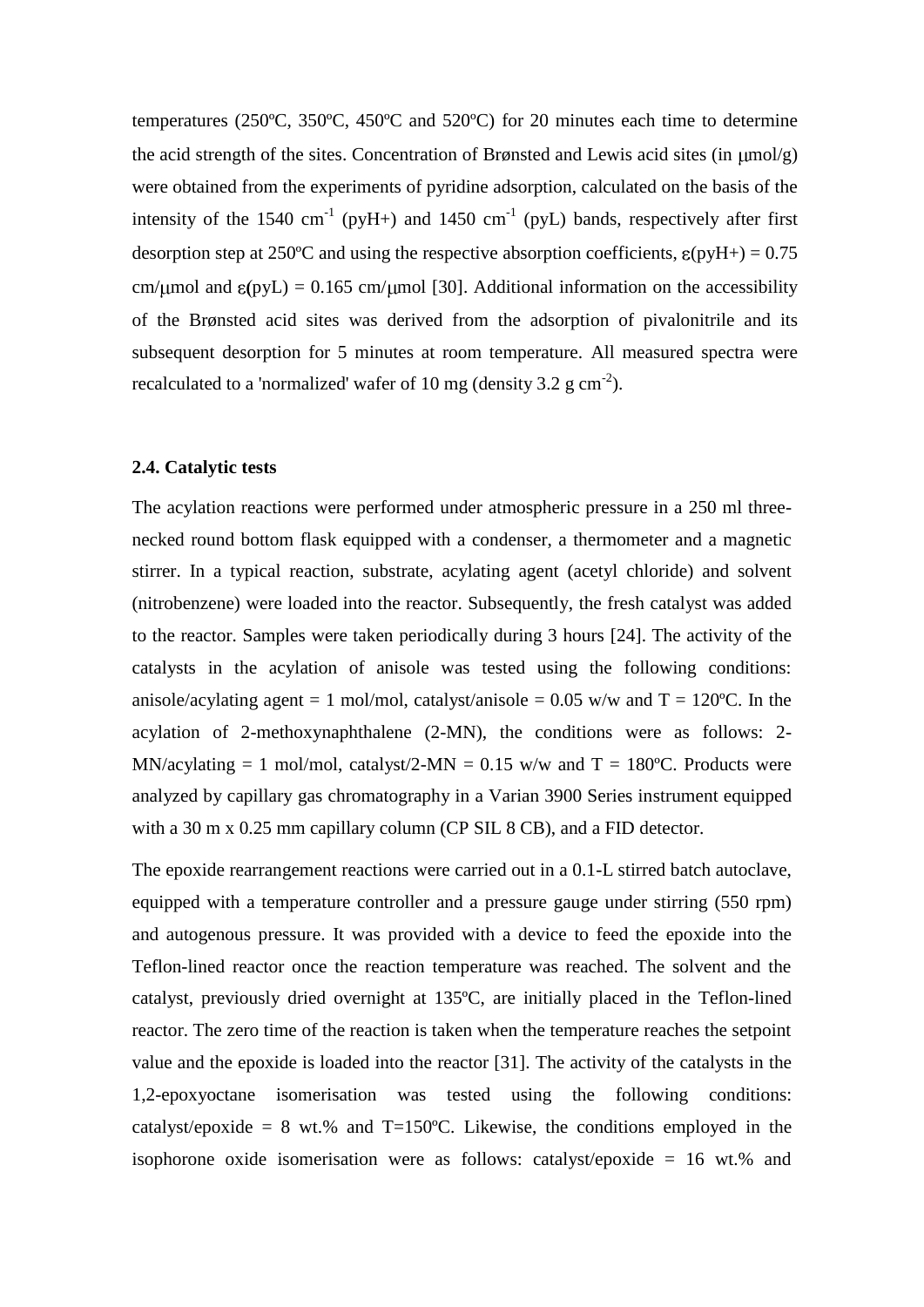temperatures (250ºC, 350ºC, 450ºC and 520ºC) for 20 minutes each time to determine the acid strength of the sites. Concentration of Brønsted and Lewis acid sites (in  $\mu$ mol/g) were obtained from the experiments of pyridine adsorption, calculated on the basis of the intensity of the 1540 cm<sup>-1</sup> (pyH+) and 1450 cm<sup>-1</sup> (pyL) bands, respectively after first desorption step at 250°C and using the respective absorption coefficients,  $\varepsilon$ (pyH+) = 0.75 cm/  $\mu$ mol and  $\varepsilon$ (pyL) = 0.165 cm/  $\mu$ mol [30]. Additional information on the accessibility of the Brønsted acid sites was derived from the adsorption of pivalonitrile and its subsequent desorption for 5 minutes at room temperature. All measured spectra were recalculated to a 'normalized' wafer of 10 mg (density 3.2  $\text{g cm}^{-2}$ ).

# **2.4. Catalytic tests**

The acylation reactions were performed under atmospheric pressure in a 250 ml threenecked round bottom flask equipped with a condenser, a thermometer and a magnetic stirrer. In a typical reaction, substrate, acylating agent (acetyl chloride) and solvent (nitrobenzene) were loaded into the reactor. Subsequently, the fresh catalyst was added to the reactor. Samples were taken periodically during 3 hours [24]. The activity of the catalysts in the acylation of anisole was tested using the following conditions: anisole/acylating agent = 1 mol/mol, catalyst/anisole = 0.05 w/w and  $T = 120^{\circ}C$ . In the acylation of 2-methoxynaphthalene (2-MN), the conditions were as follows: 2- MN/acylating = 1 mol/mol, catalyst/2-MN =  $0.15$  w/w and T = 180°C. Products were analyzed by capillary gas chromatography in a Varian 3900 Series instrument equipped with a 30 m x 0.25 mm capillary column (CP SIL 8 CB), and a FID detector.

The epoxide rearrangement reactions were carried out in a 0.1-L stirred batch autoclave, equipped with a temperature controller and a pressure gauge under stirring (550 rpm) and autogenous pressure. It was provided with a device to feed the epoxide into the Teflon-lined reactor once the reaction temperature was reached. The solvent and the catalyst, previously dried overnight at 135ºC, are initially placed in the Teflon-lined reactor. The zero time of the reaction is taken when the temperature reaches the setpoint value and the epoxide is loaded into the reactor [31]. The activity of the catalysts in the 1,2-epoxyoctane isomerisation was tested using the following conditions: catalyst/epoxide = 8 wt.% and T=150°C. Likewise, the conditions employed in the isophorone oxide isomerisation were as follows: catalyst/epoxide = 16 wt.% and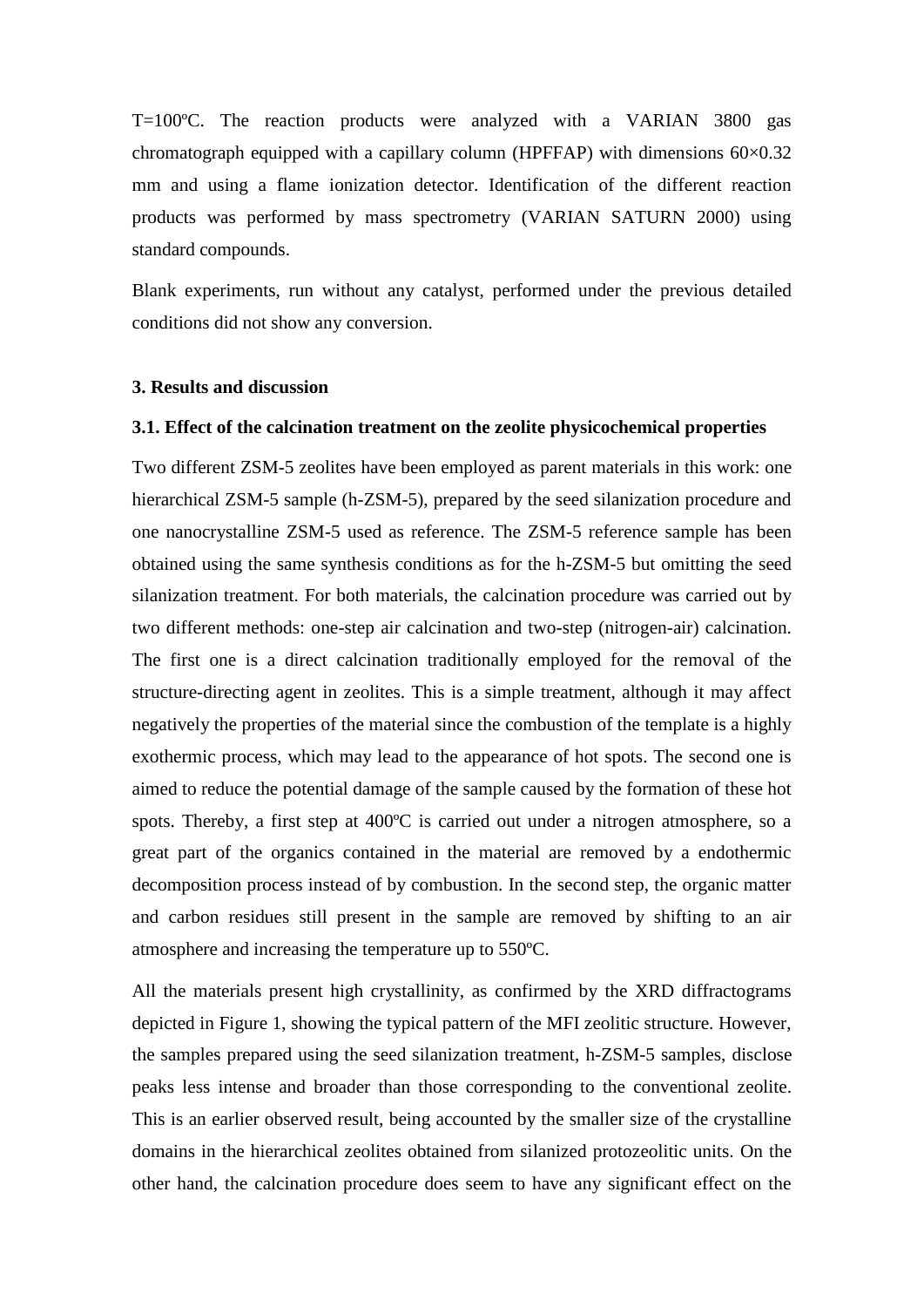T=100ºC. The reaction products were analyzed with a VARIAN 3800 gas chromatograph equipped with a capillary column (HPFFAP) with dimensions  $60\times0.32$ mm and using a flame ionization detector. Identification of the different reaction products was performed by mass spectrometry (VARIAN SATURN 2000) using standard compounds.

Blank experiments, run without any catalyst, performed under the previous detailed conditions did not show any conversion.

#### **3. Results and discussion**

#### **3.1. Effect of the calcination treatment on the zeolite physicochemical properties**

Two different ZSM-5 zeolites have been employed as parent materials in this work: one hierarchical ZSM-5 sample (h-ZSM-5), prepared by the seed silanization procedure and one nanocrystalline ZSM-5 used as reference. The ZSM-5 reference sample has been obtained using the same synthesis conditions as for the h-ZSM-5 but omitting the seed silanization treatment. For both materials, the calcination procedure was carried out by two different methods: one-step air calcination and two-step (nitrogen-air) calcination. The first one is a direct calcination traditionally employed for the removal of the structure-directing agent in zeolites. This is a simple treatment, although it may affect negatively the properties of the material since the combustion of the template is a highly exothermic process, which may lead to the appearance of hot spots. The second one is aimed to reduce the potential damage of the sample caused by the formation of these hot spots. Thereby, a first step at 400ºC is carried out under a nitrogen atmosphere, so a great part of the organics contained in the material are removed by a endothermic decomposition process instead of by combustion. In the second step, the organic matter and carbon residues still present in the sample are removed by shifting to an air atmosphere and increasing the temperature up to 550ºC.

All the materials present high crystallinity, as confirmed by the XRD diffractograms depicted in Figure 1, showing the typical pattern of the MFI zeolitic structure. However, the samples prepared using the seed silanization treatment, h-ZSM-5 samples, disclose peaks less intense and broader than those corresponding to the conventional zeolite. This is an earlier observed result, being accounted by the smaller size of the crystalline domains in the hierarchical zeolites obtained from silanized protozeolitic units. On the other hand, the calcination procedure does seem to have any significant effect on the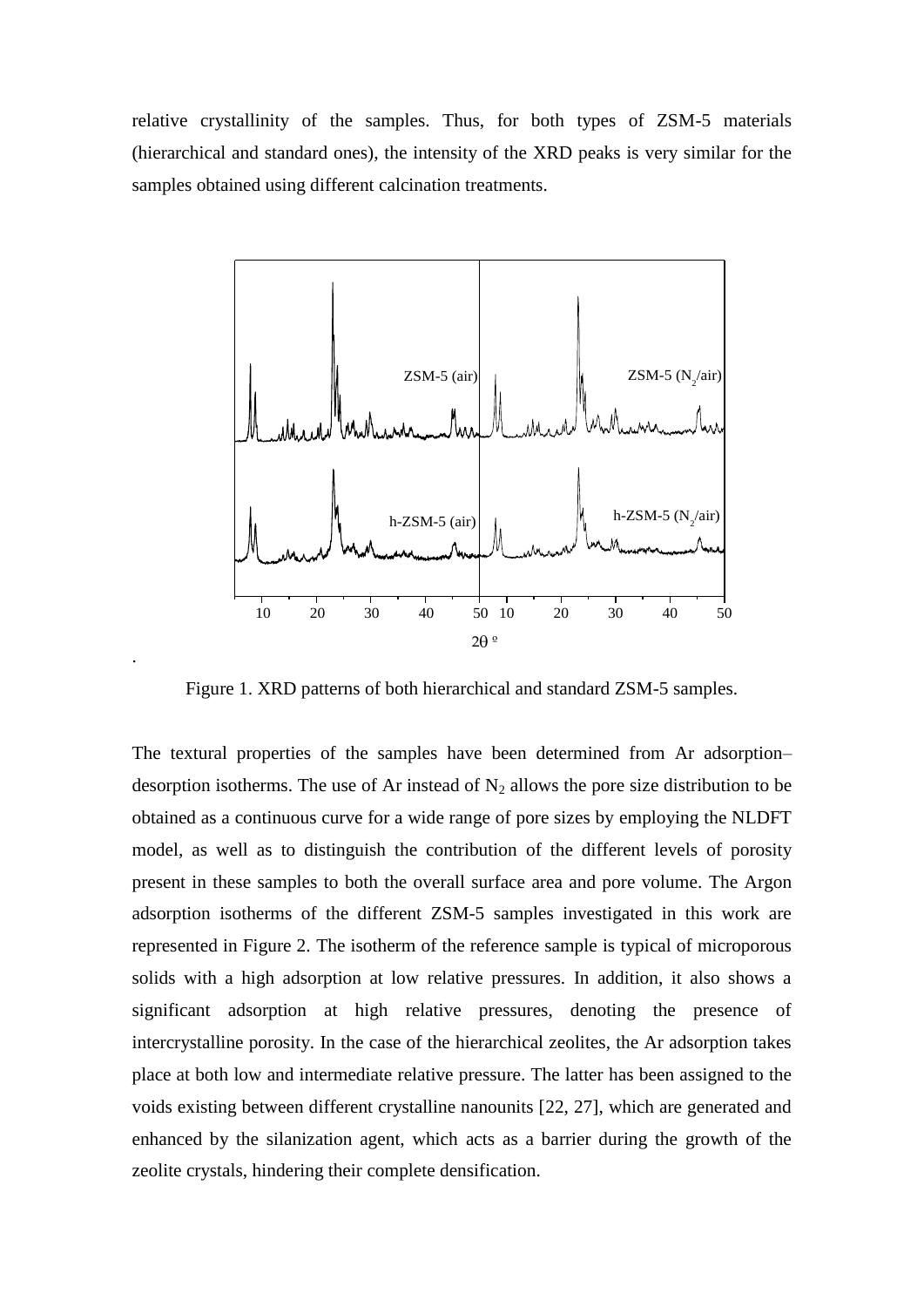relative crystallinity of the samples. Thus, for both types of ZSM-5 materials (hierarchical and standard ones), the intensity of the XRD peaks is very similar for the samples obtained using different calcination treatments.



Figure 1. XRD patterns of both hierarchical and standard ZSM-5 samples.

.

The textural properties of the samples have been determined from Ar adsorption– desorption isotherms. The use of Ar instead of  $N_2$  allows the pore size distribution to be obtained as a continuous curve for a wide range of pore sizes by employing the NLDFT model, as well as to distinguish the contribution of the different levels of porosity present in these samples to both the overall surface area and pore volume. The Argon adsorption isotherms of the different ZSM-5 samples investigated in this work are represented in Figure 2. The isotherm of the reference sample is typical of microporous solids with a high adsorption at low relative pressures. In addition, it also shows a significant adsorption at high relative pressures, denoting the presence of intercrystalline porosity. In the case of the hierarchical zeolites, the Ar adsorption takes place at both low and intermediate relative pressure. The latter has been assigned to the voids existing between different crystalline nanounits [22, 27], which are generated and enhanced by the silanization agent, which acts as a barrier during the growth of the zeolite crystals, hindering their complete densification.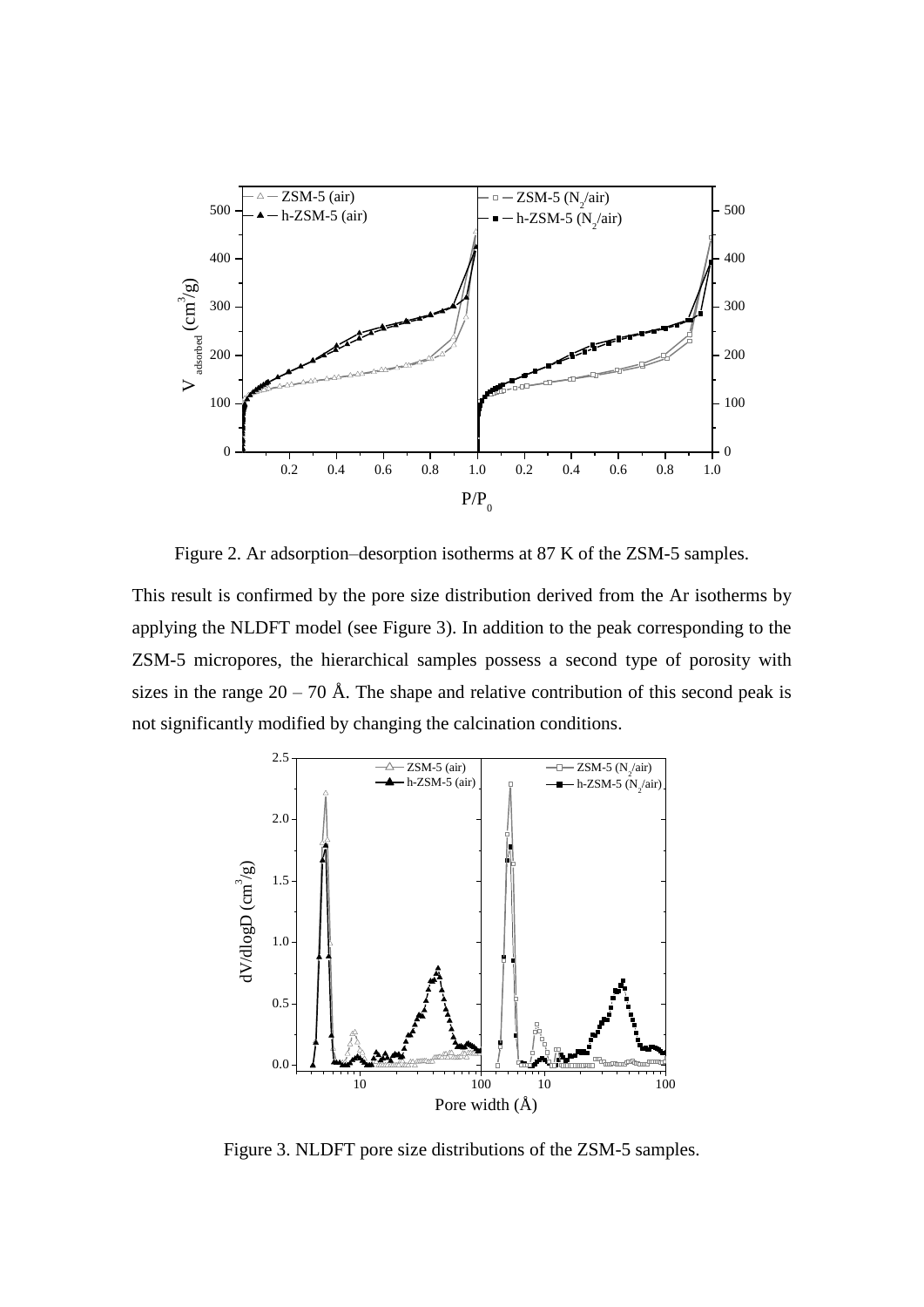

Figure 2. Ar adsorption–desorption isotherms at 87 K of the ZSM-5 samples.

This result is confirmed by the pore size distribution derived from the Ar isotherms by applying the NLDFT model (see Figure 3). In addition to the peak corresponding to the ZSM-5 micropores, the hierarchical samples possess a second type of porosity with sizes in the range  $20 - 70$  Å. The shape and relative contribution of this second peak is not significantly modified by changing the calcination conditions.



Figure 3. NLDFT pore size distributions of the ZSM-5 samples.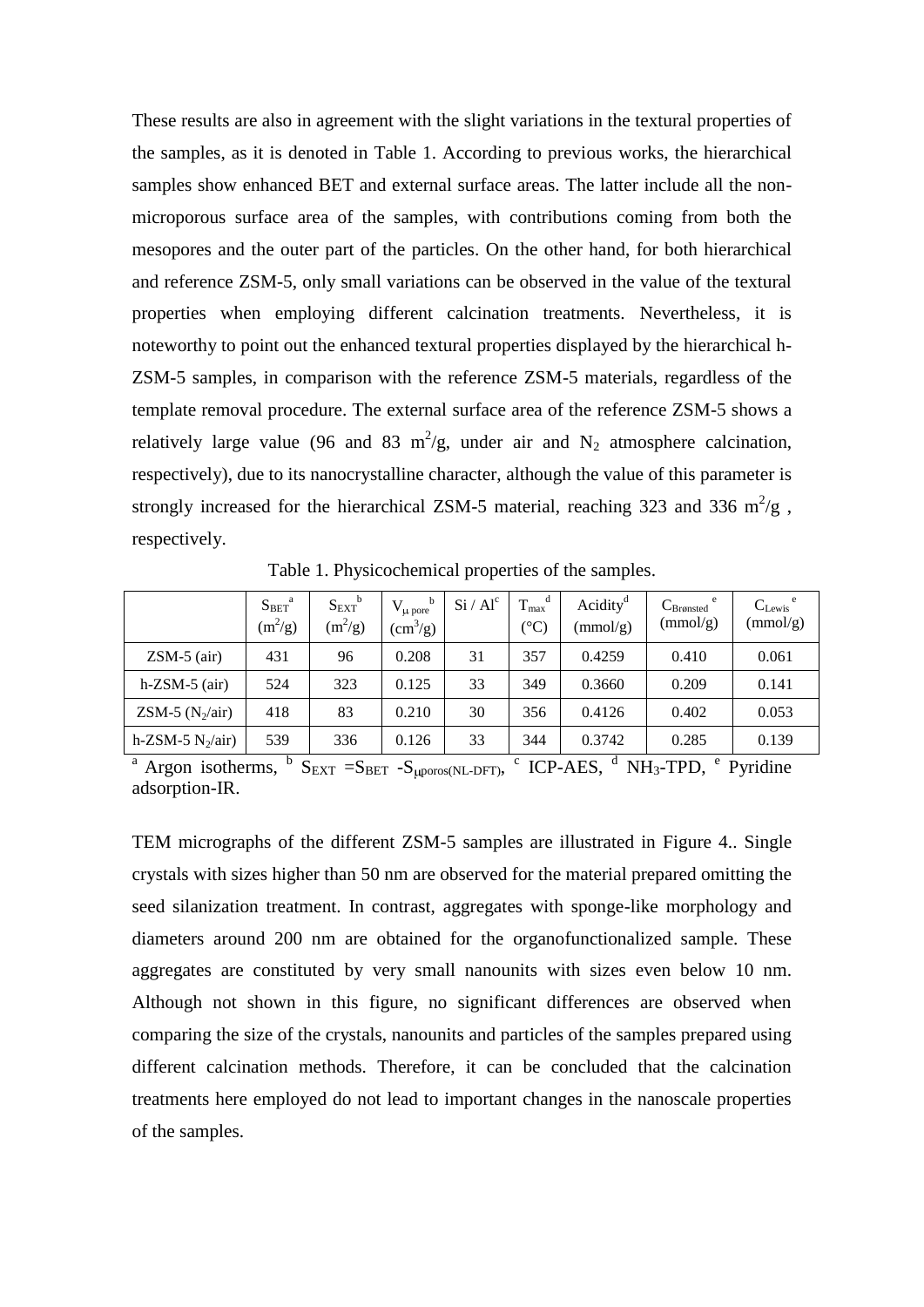These results are also in agreement with the slight variations in the textural properties of the samples, as it is denoted in Table 1. According to previous works, the hierarchical samples show enhanced BET and external surface areas. The latter include all the nonmicroporous surface area of the samples, with contributions coming from both the mesopores and the outer part of the particles. On the other hand, for both hierarchical and reference ZSM-5, only small variations can be observed in the value of the textural properties when employing different calcination treatments. Nevertheless, it is noteworthy to point out the enhanced textural properties displayed by the hierarchical h-ZSM-5 samples, in comparison with the reference ZSM-5 materials, regardless of the template removal procedure. The external surface area of the reference ZSM-5 shows a relatively large value (96 and 83 m<sup>2</sup>/g, under air and N<sub>2</sub> atmosphere calcination, respectively), due to its nanocrystalline character, although the value of this parameter is strongly increased for the hierarchical ZSM-5 material, reaching 323 and 336  $m^2/g$ , respectively.

|                     | $S_{BET}^{\quad a}$<br>$(m^2/g)$ | $S_{\rm{EXT}}^{\qquad b}$<br>$(m^2/g)$ | b<br>$V_{\mu \text{ pore}}$<br>$\text{cm}^3\text{/g}$ | Si / Al <sup>c</sup> | $T_{max}^{\quad d}$<br>$(^\circ C)$ | Acidity <sup>d</sup><br>(mmol/g) | e<br>$C_{Bronsted}$<br>(mmol/g) | $C_{\text{Lewis}}^{\text{e}}$<br>(mmol/g) |
|---------------------|----------------------------------|----------------------------------------|-------------------------------------------------------|----------------------|-------------------------------------|----------------------------------|---------------------------------|-------------------------------------------|
| $ZSM-5$ (air)       | 431                              | 96                                     | 0.208                                                 | 31                   | 357                                 | 0.4259                           | 0.410                           | 0.061                                     |
| $h$ -ZSM-5 (air)    | 524                              | 323                                    | 0.125                                                 | 33                   | 349                                 | 0.3660                           | 0.209                           | 0.141                                     |
| ZSM-5 $(N_2/air)$   | 418                              | 83                                     | 0.210                                                 | 30                   | 356                                 | 0.4126                           | 0.402                           | 0.053                                     |
| h-ZSM-5 $N_2/air$ ) | 539                              | 336                                    | 0.126                                                 | 33                   | 344                                 | 0.3742                           | 0.285                           | 0.139                                     |

Table 1. Physicochemical properties of the samples.

<sup>a</sup> Argon isotherms,  ${}^{\text{b}}$  S<sub>EXT</sub> = S<sub>BET</sub> - S<sub>µporos(NL-DFT)</sub>, <sup>c</sup> ICP-AES, <sup>d</sup> NH<sub>3</sub>-TPD, <sup>e</sup> Pyridine adsorption-IR.

TEM micrographs of the different ZSM-5 samples are illustrated in Figure 4.. Single crystals with sizes higher than 50 nm are observed for the material prepared omitting the seed silanization treatment. In contrast, aggregates with sponge-like morphology and diameters around 200 nm are obtained for the organofunctionalized sample. These aggregates are constituted by very small nanounits with sizes even below 10 nm. Although not shown in this figure, no significant differences are observed when comparing the size of the crystals, nanounits and particles of the samples prepared using different calcination methods. Therefore, it can be concluded that the calcination treatments here employed do not lead to important changes in the nanoscale properties of the samples.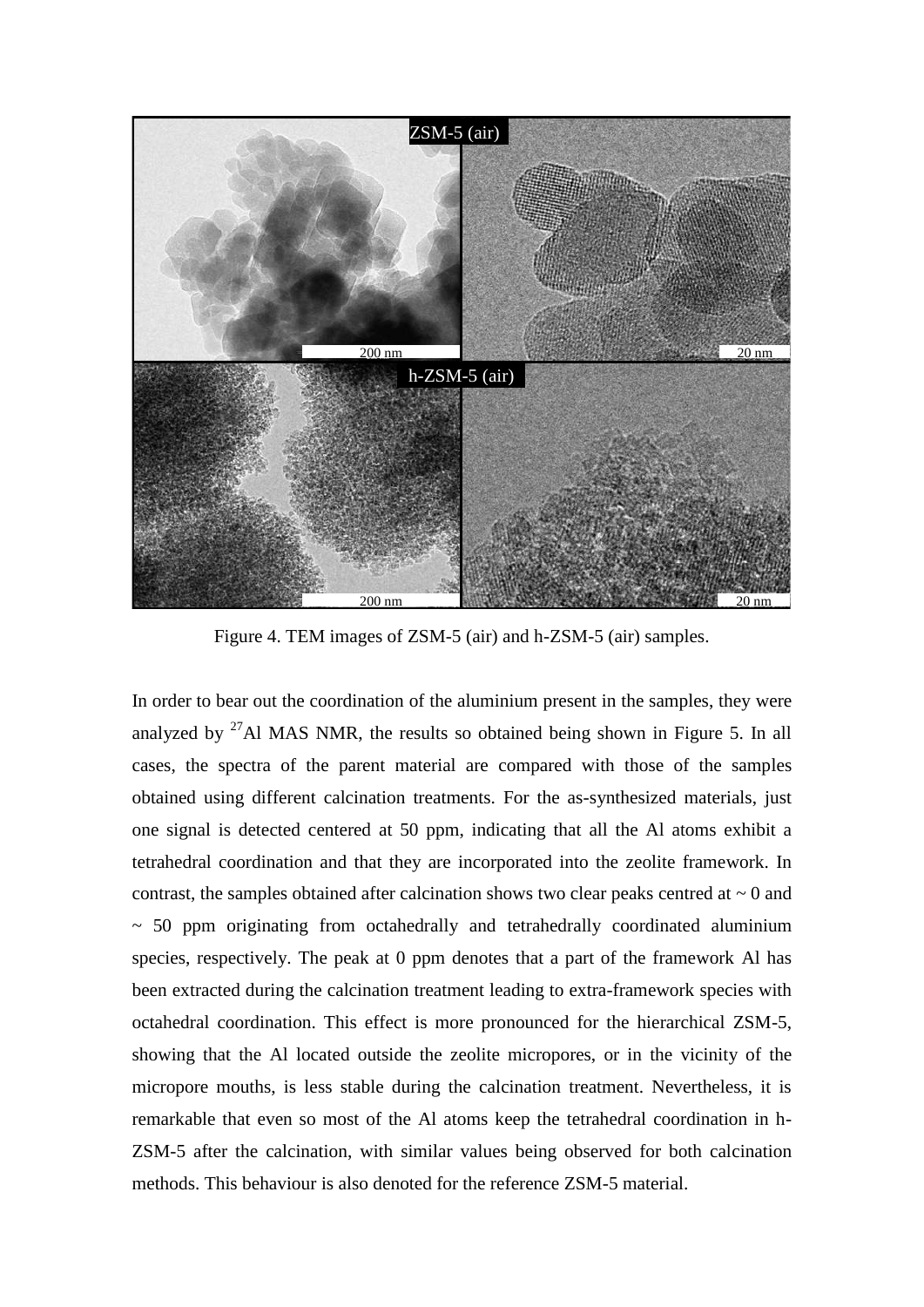

Figure 4. TEM images of ZSM-5 (air) and h-ZSM-5 (air) samples.

In order to bear out the coordination of the aluminium present in the samples, they were analyzed by  $27$ Al MAS NMR, the results so obtained being shown in Figure 5. In all cases, the spectra of the parent material are compared with those of the samples obtained using different calcination treatments. For the as-synthesized materials, just one signal is detected centered at 50 ppm, indicating that all the Al atoms exhibit a tetrahedral coordination and that they are incorporated into the zeolite framework. In contrast, the samples obtained after calcination shows two clear peaks centred at  $\sim 0$  and  $\sim$  50 ppm originating from octahedrally and tetrahedrally coordinated aluminium species, respectively. The peak at 0 ppm denotes that a part of the framework Al has been extracted during the calcination treatment leading to extra-framework species with octahedral coordination. This effect is more pronounced for the hierarchical ZSM-5, showing that the Al located outside the zeolite micropores, or in the vicinity of the micropore mouths, is less stable during the calcination treatment. Nevertheless, it is remarkable that even so most of the Al atoms keep the tetrahedral coordination in h-ZSM-5 after the calcination, with similar values being observed for both calcination methods. This behaviour is also denoted for the reference ZSM-5 material.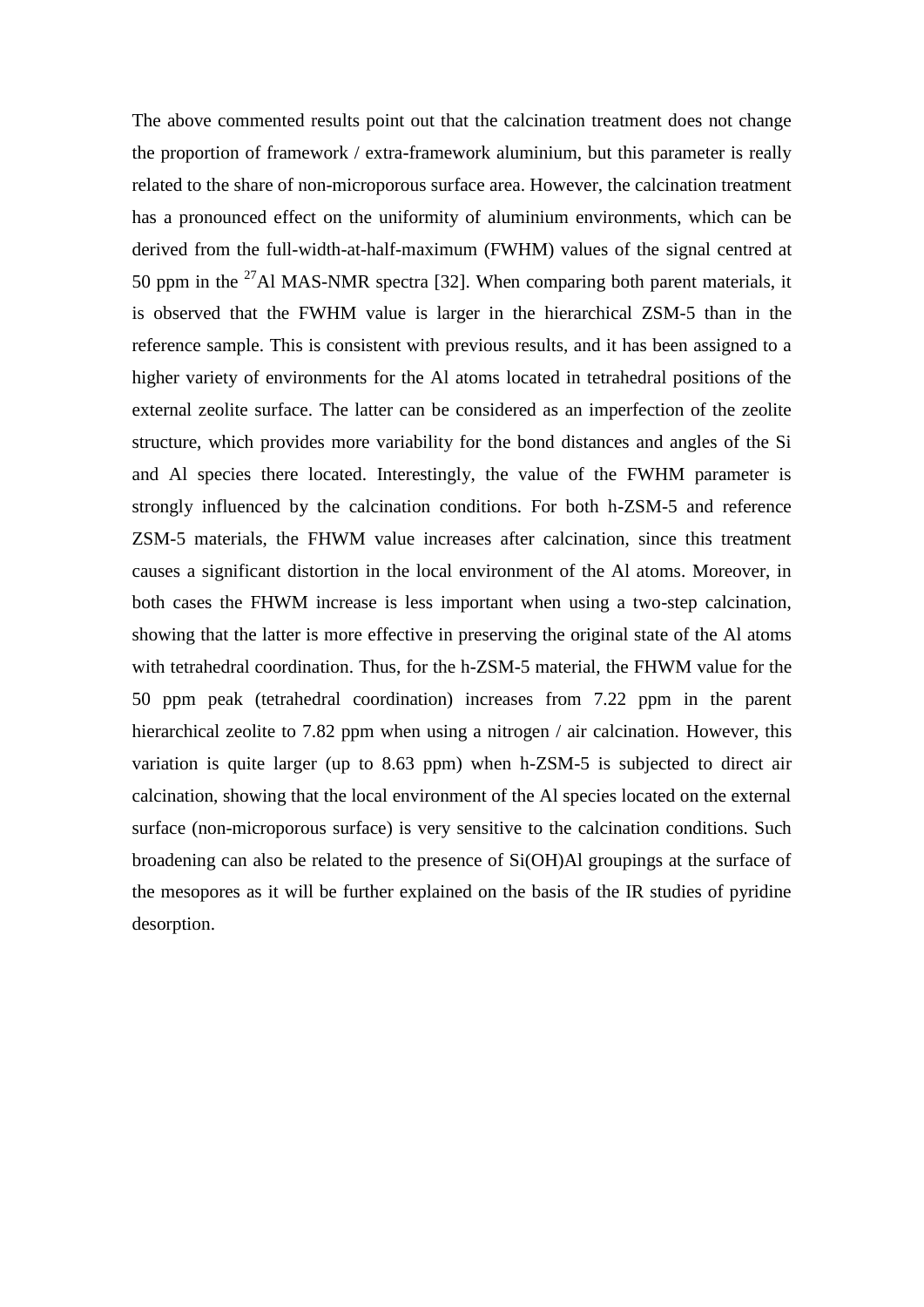The above commented results point out that the calcination treatment does not change the proportion of framework / extra-framework aluminium, but this parameter is really related to the share of non-microporous surface area. However, the calcination treatment has a pronounced effect on the uniformity of aluminium environments, which can be derived from the full-width-at-half-maximum (FWHM) values of the signal centred at 50 ppm in the  $^{27}$ Al MAS-NMR spectra [32]. When comparing both parent materials, it is observed that the FWHM value is larger in the hierarchical ZSM-5 than in the reference sample. This is consistent with previous results, and it has been assigned to a higher variety of environments for the Al atoms located in tetrahedral positions of the external zeolite surface. The latter can be considered as an imperfection of the zeolite structure, which provides more variability for the bond distances and angles of the Si and Al species there located. Interestingly, the value of the FWHM parameter is strongly influenced by the calcination conditions. For both h-ZSM-5 and reference ZSM-5 materials, the FHWM value increases after calcination, since this treatment causes a significant distortion in the local environment of the Al atoms. Moreover, in both cases the FHWM increase is less important when using a two-step calcination, showing that the latter is more effective in preserving the original state of the Al atoms with tetrahedral coordination. Thus, for the h-ZSM-5 material, the FHWM value for the 50 ppm peak (tetrahedral coordination) increases from 7.22 ppm in the parent hierarchical zeolite to 7.82 ppm when using a nitrogen / air calcination. However, this variation is quite larger (up to 8.63 ppm) when h-ZSM-5 is subjected to direct air calcination, showing that the local environment of the Al species located on the external surface (non-microporous surface) is very sensitive to the calcination conditions. Such broadening can also be related to the presence of Si(OH)Al groupings at the surface of the mesopores as it will be further explained on the basis of the IR studies of pyridine desorption.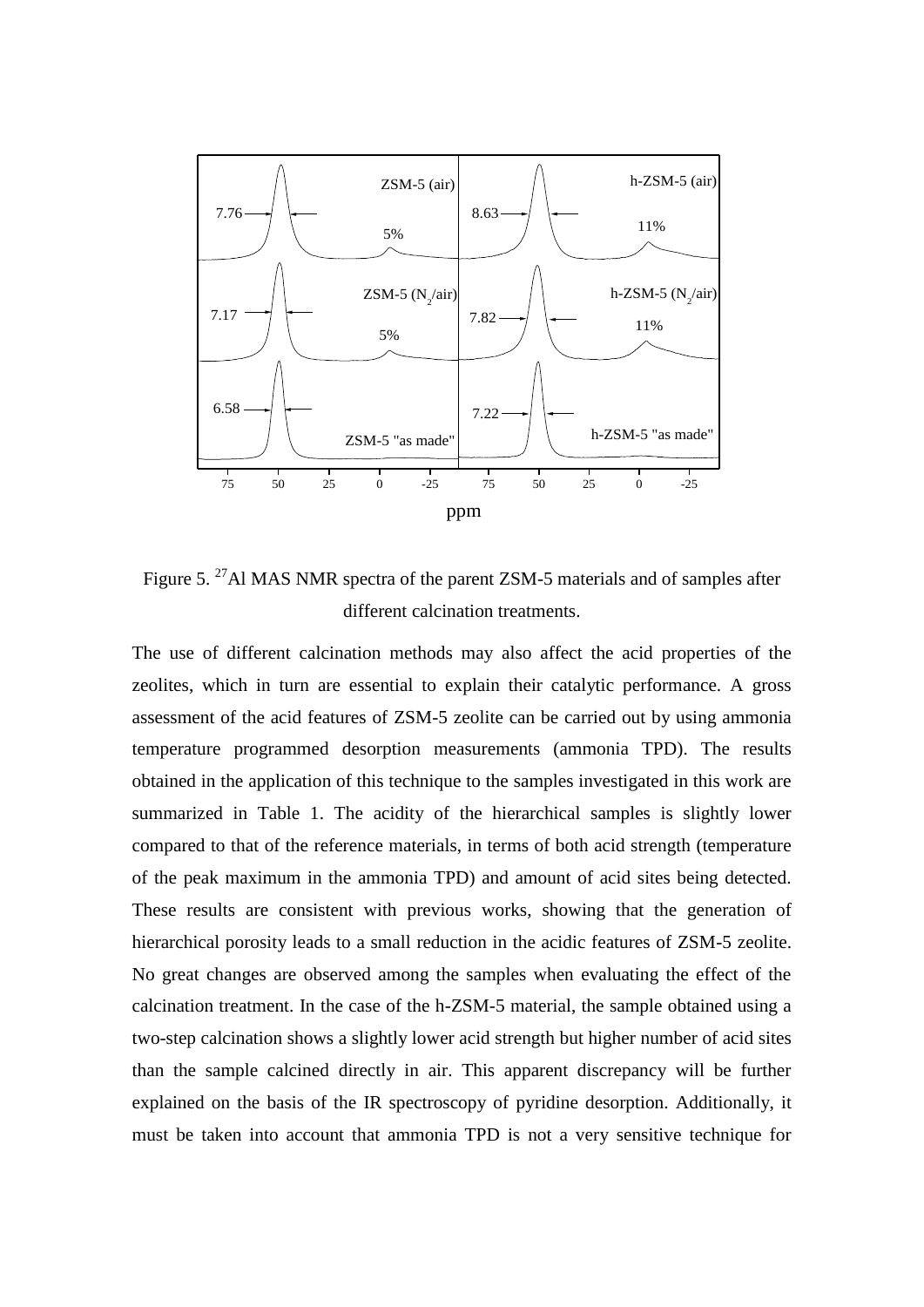

Figure 5. <sup>27</sup>Al MAS NMR spectra of the parent ZSM-5 materials and of samples after different calcination treatments.

The use of different calcination methods may also affect the acid properties of the zeolites, which in turn are essential to explain their catalytic performance. A gross assessment of the acid features of ZSM-5 zeolite can be carried out by using ammonia temperature programmed desorption measurements (ammonia TPD). The results obtained in the application of this technique to the samples investigated in this work are summarized in Table 1. The acidity of the hierarchical samples is slightly lower compared to that of the reference materials, in terms of both acid strength (temperature of the peak maximum in the ammonia TPD) and amount of acid sites being detected. These results are consistent with previous works, showing that the generation of hierarchical porosity leads to a small reduction in the acidic features of ZSM-5 zeolite. No great changes are observed among the samples when evaluating the effect of the calcination treatment. In the case of the h-ZSM-5 material, the sample obtained using a two-step calcination shows a slightly lower acid strength but higher number of acid sites than the sample calcined directly in air. This apparent discrepancy will be further explained on the basis of the IR spectroscopy of pyridine desorption. Additionally, it must be taken into account that ammonia TPD is not a very sensitive technique for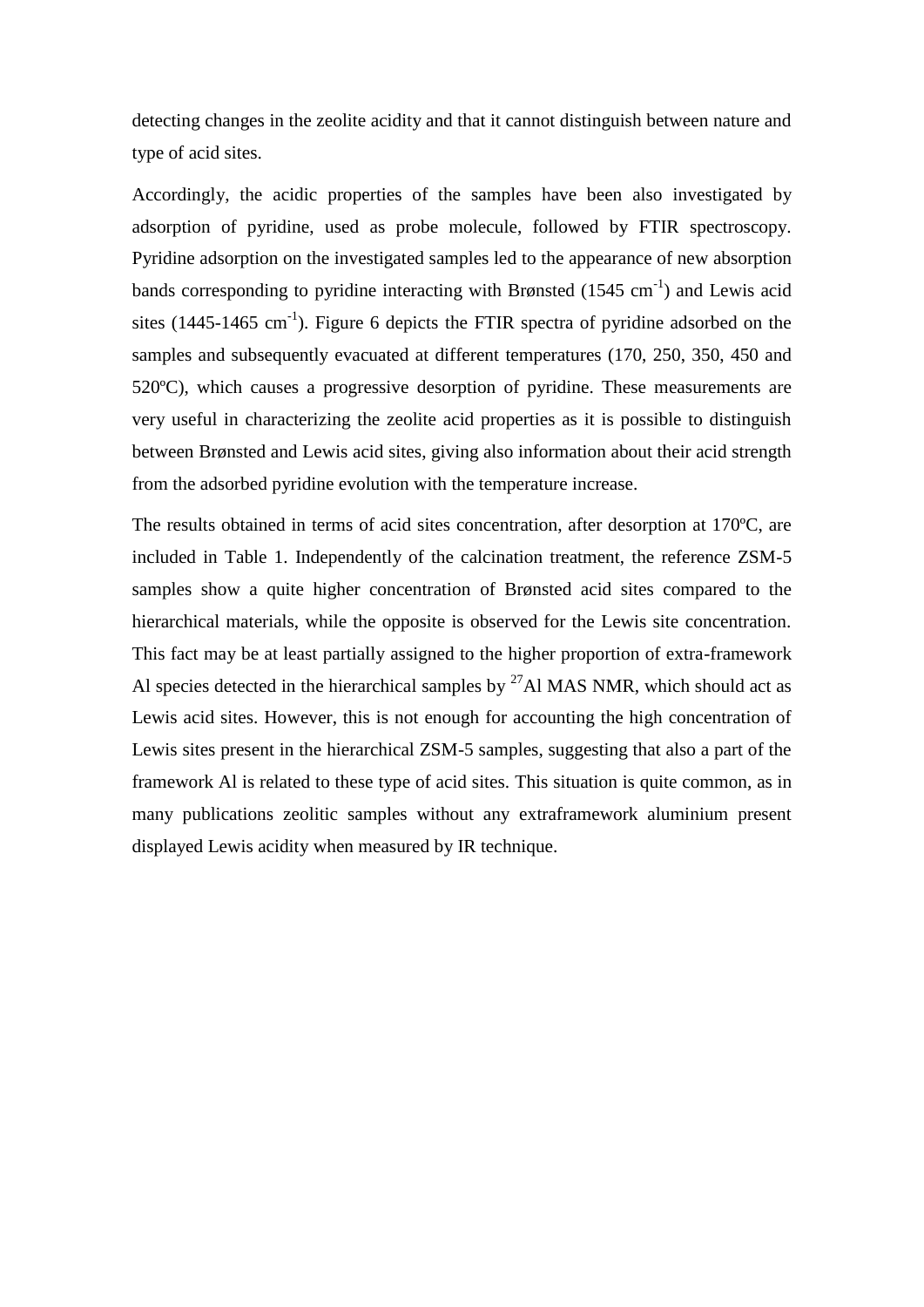detecting changes in the zeolite acidity and that it cannot distinguish between nature and type of acid sites.

Accordingly, the acidic properties of the samples have been also investigated by adsorption of pyridine, used as probe molecule, followed by FTIR spectroscopy. Pyridine adsorption on the investigated samples led to the appearance of new absorption bands corresponding to pyridine interacting with Brønsted (1545 cm<sup>-1</sup>) and Lewis acid sites (1445-1465 cm<sup>-1</sup>). Figure 6 depicts the FTIR spectra of pyridine adsorbed on the samples and subsequently evacuated at different temperatures (170, 250, 350, 450 and 520ºC), which causes a progressive desorption of pyridine. These measurements are very useful in characterizing the zeolite acid properties as it is possible to distinguish between Brønsted and Lewis acid sites, giving also information about their acid strength from the adsorbed pyridine evolution with the temperature increase.

The results obtained in terms of acid sites concentration, after desorption at 170ºC, are included in Table 1. Independently of the calcination treatment, the reference ZSM-5 samples show a quite higher concentration of Brønsted acid sites compared to the hierarchical materials, while the opposite is observed for the Lewis site concentration. This fact may be at least partially assigned to the higher proportion of extra-framework Al species detected in the hierarchical samples by  $27$ Al MAS NMR, which should act as Lewis acid sites. However, this is not enough for accounting the high concentration of Lewis sites present in the hierarchical ZSM-5 samples, suggesting that also a part of the framework Al is related to these type of acid sites. This situation is quite common, as in many publications zeolitic samples without any extraframework aluminium present displayed Lewis acidity when measured by IR technique.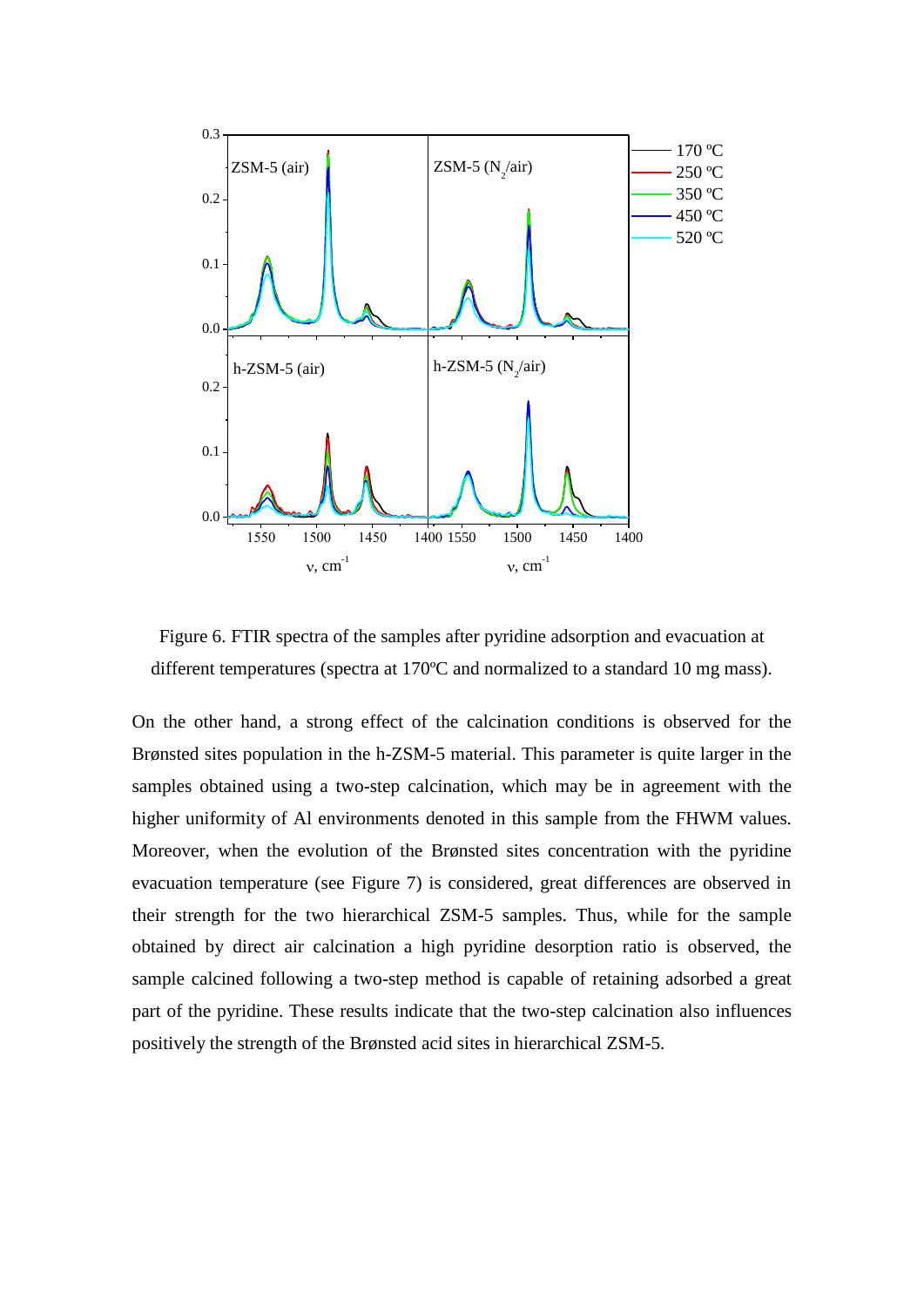

Figure 6. FTIR spectra of the samples after pyridine adsorption and evacuation at different temperatures (spectra at 170ºC and normalized to a standard 10 mg mass).

On the other hand, a strong effect of the calcination conditions is observed for the Brønsted sites population in the h-ZSM-5 material. This parameter is quite larger in the samples obtained using a two-step calcination, which may be in agreement with the higher uniformity of Al environments denoted in this sample from the FHWM values. Moreover, when the evolution of the Brønsted sites concentration with the pyridine evacuation temperature (see Figure 7) is considered, great differences are observed in their strength for the two hierarchical ZSM-5 samples. Thus, while for the sample obtained by direct air calcination a high pyridine desorption ratio is observed, the sample calcined following a two-step method is capable of retaining adsorbed a great part of the pyridine. These results indicate that the two-step calcination also influences positively the strength of the Brønsted acid sites in hierarchical ZSM-5.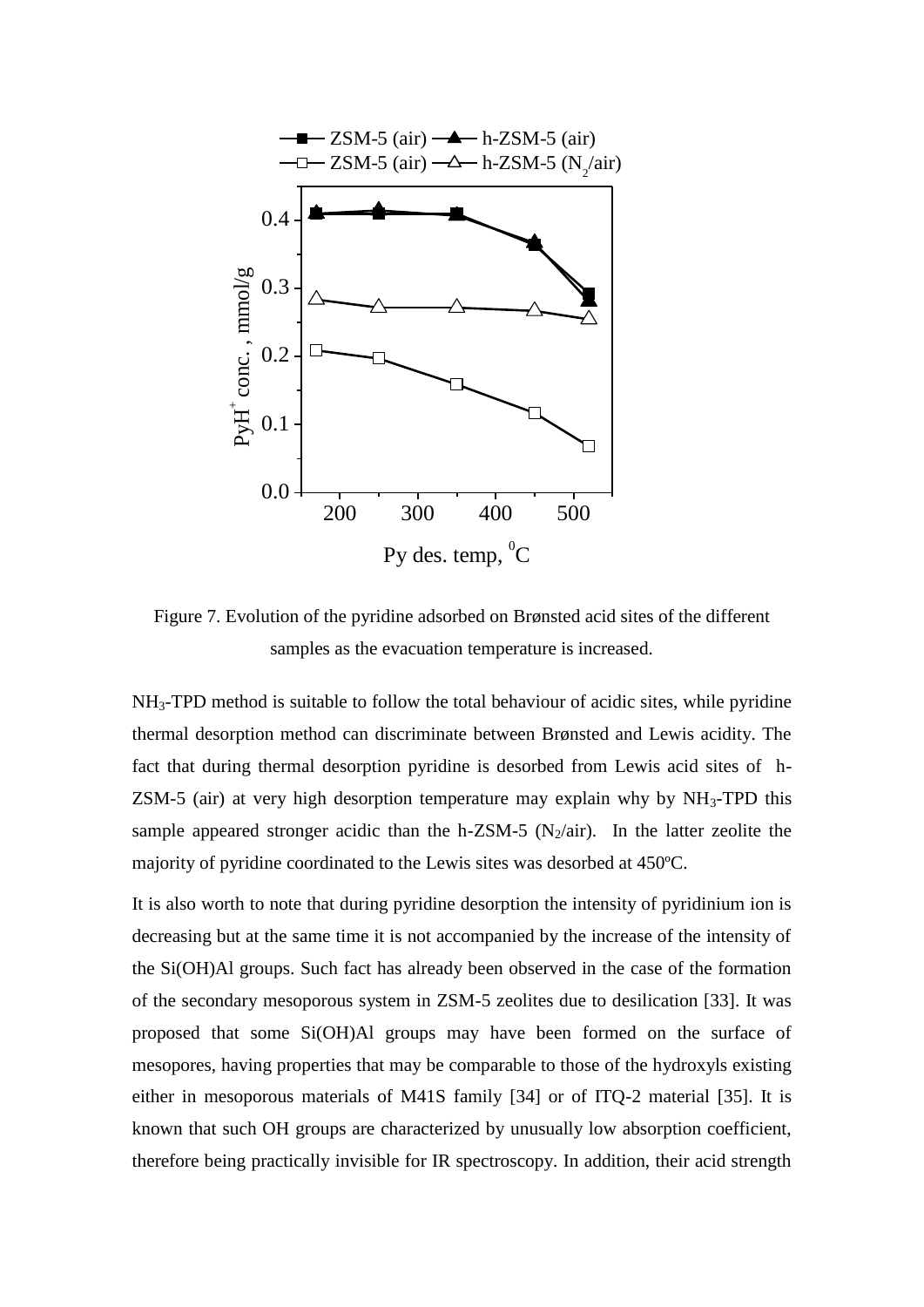

Figure 7. Evolution of the pyridine adsorbed on Brønsted acid sites of the different samples as the evacuation temperature is increased.

NH3-TPD method is suitable to follow the total behaviour of acidic sites, while pyridine thermal desorption method can discriminate between Brønsted and Lewis acidity. The fact that during thermal desorption pyridine is desorbed from Lewis acid sites of h-ZSM-5 (air) at very high desorption temperature may explain why by  $NH_3$ -TPD this sample appeared stronger acidic than the h-ZSM-5 ( $N_2$ /air). In the latter zeolite the majority of pyridine coordinated to the Lewis sites was desorbed at 450ºC.

It is also worth to note that during pyridine desorption the intensity of pyridinium ion is decreasing but at the same time it is not accompanied by the increase of the intensity of the Si(OH)Al groups. Such fact has already been observed in the case of the formation of the secondary mesoporous system in ZSM-5 zeolites due to desilication [33]. It was proposed that some Si(OH)Al groups may have been formed on the surface of mesopores, having properties that may be comparable to those of the hydroxyls existing either in mesoporous materials of M41S family [34] or of ITQ-2 material [35]. It is known that such OH groups are characterized by unusually low absorption coefficient, therefore being practically invisible for IR spectroscopy. In addition, their acid strength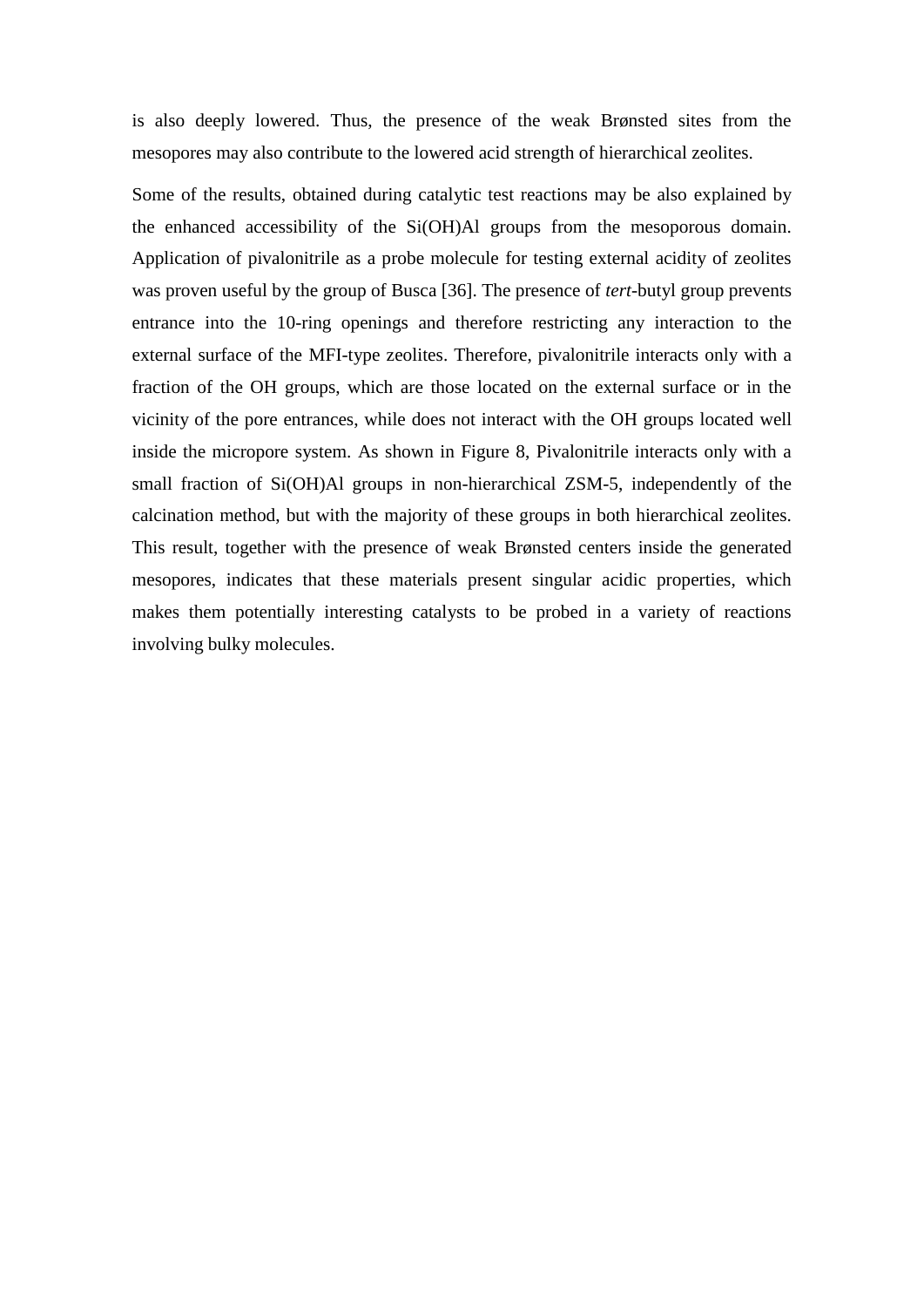is also deeply lowered. Thus, the presence of the weak Brønsted sites from the mesopores may also contribute to the lowered acid strength of hierarchical zeolites.

Some of the results, obtained during catalytic test reactions may be also explained by the enhanced accessibility of the Si(OH)Al groups from the mesoporous domain. Application of pivalonitrile as a probe molecule for testing external acidity of zeolites was proven useful by the group of Busca [36]. The presence of *tert*-butyl group prevents entrance into the 10-ring openings and therefore restricting any interaction to the external surface of the MFI-type zeolites. Therefore, pivalonitrile interacts only with a fraction of the OH groups, which are those located on the external surface or in the vicinity of the pore entrances, while does not interact with the OH groups located well inside the micropore system. As shown in Figure 8, Pivalonitrile interacts only with a small fraction of Si(OH)Al groups in non-hierarchical ZSM-5, independently of the calcination method, but with the majority of these groups in both hierarchical zeolites. This result, together with the presence of weak Brønsted centers inside the generated mesopores, indicates that these materials present singular acidic properties, which makes them potentially interesting catalysts to be probed in a variety of reactions involving bulky molecules.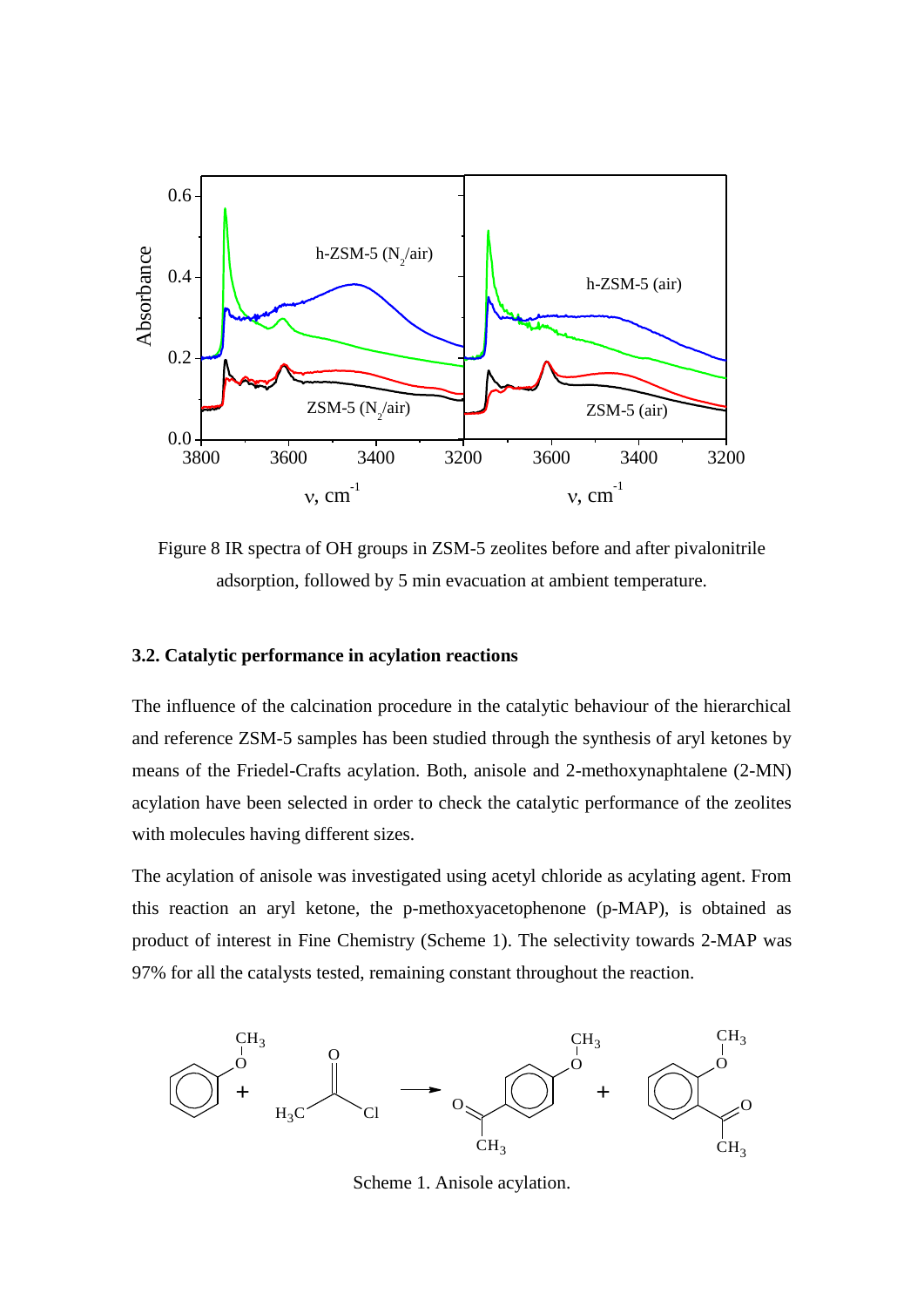

Figure 8 IR spectra of OH groups in ZSM-5 zeolites before and after pivalonitrile adsorption, followed by 5 min evacuation at ambient temperature.

# **3.2. Catalytic performance in acylation reactions**

The influence of the calcination procedure in the catalytic behaviour of the hierarchical and reference ZSM-5 samples has been studied through the synthesis of aryl ketones by means of the Friedel-Crafts acylation. Both, anisole and 2-methoxynaphtalene (2-MN) acylation have been selected in order to check the catalytic performance of the zeolites with molecules having different sizes.

The acylation of anisole was investigated using acetyl chloride as acylating agent. From this reaction an aryl ketone, the p-methoxyacetophenone (p-MAP), is obtained as product of interest in Fine Chemistry (Scheme 1). The selectivity towards 2-MAP was 97% for all the catalysts tested, remaining constant throughout the reaction.



Scheme 1. Anisole acylation.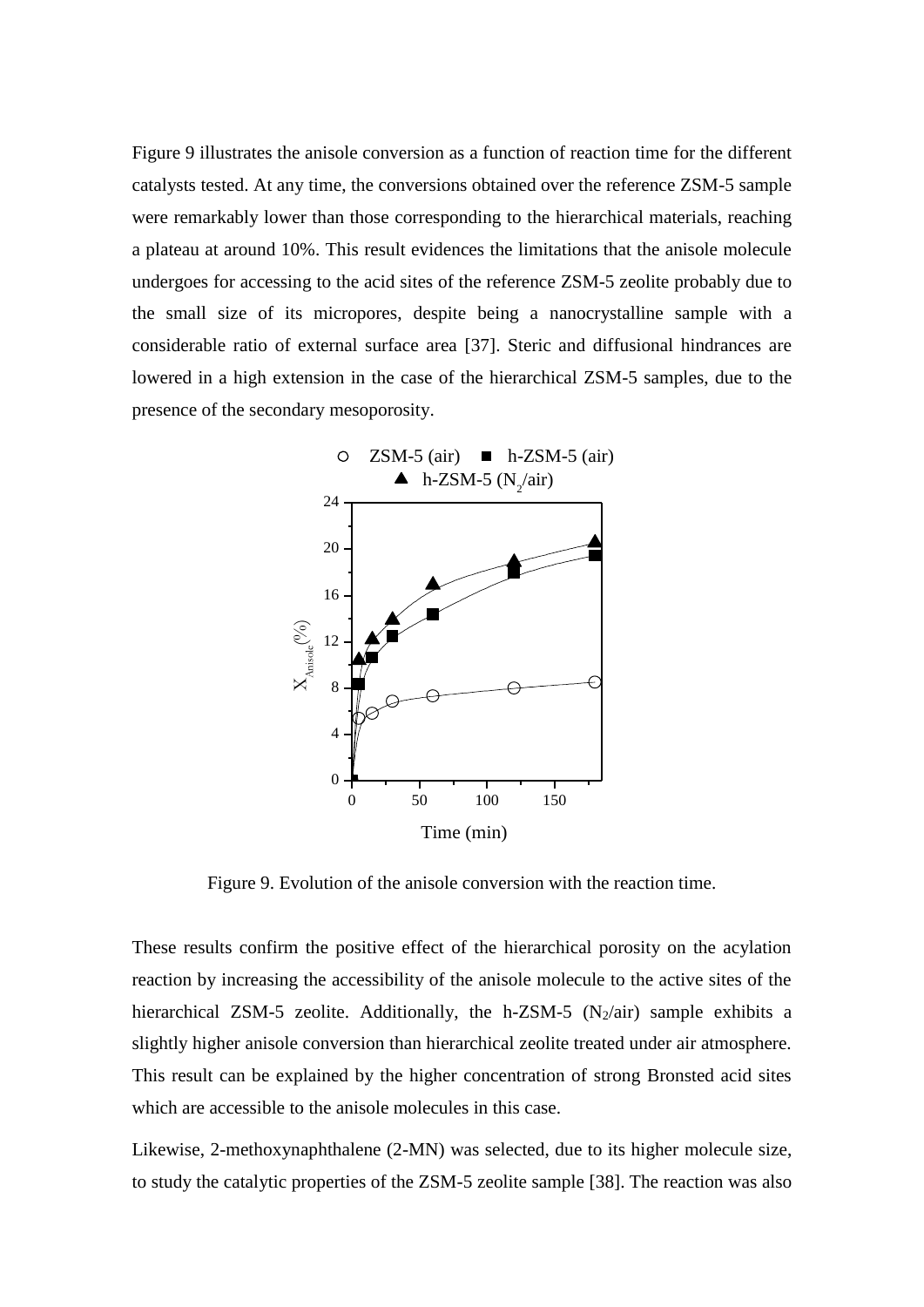Figure 9 illustrates the anisole conversion as a function of reaction time for the different catalysts tested. At any time, the conversions obtained over the reference ZSM-5 sample were remarkably lower than those corresponding to the hierarchical materials, reaching a plateau at around 10%. This result evidences the limitations that the anisole molecule undergoes for accessing to the acid sites of the reference ZSM-5 zeolite probably due to the small size of its micropores, despite being a nanocrystalline sample with a considerable ratio of external surface area [37]. Steric and diffusional hindrances are lowered in a high extension in the case of the hierarchical ZSM-5 samples, due to the presence of the secondary mesoporosity.



Figure 9. Evolution of the anisole conversion with the reaction time.

These results confirm the positive effect of the hierarchical porosity on the acylation reaction by increasing the accessibility of the anisole molecule to the active sites of the hierarchical ZSM-5 zeolite. Additionally, the h-ZSM-5  $(N_2/air)$  sample exhibits a slightly higher anisole conversion than hierarchical zeolite treated under air atmosphere. This result can be explained by the higher concentration of strong Bronsted acid sites which are accessible to the anisole molecules in this case.

Likewise, 2-methoxynaphthalene (2-MN) was selected, due to its higher molecule size, to study the catalytic properties of the ZSM-5 zeolite sample [38]. The reaction was also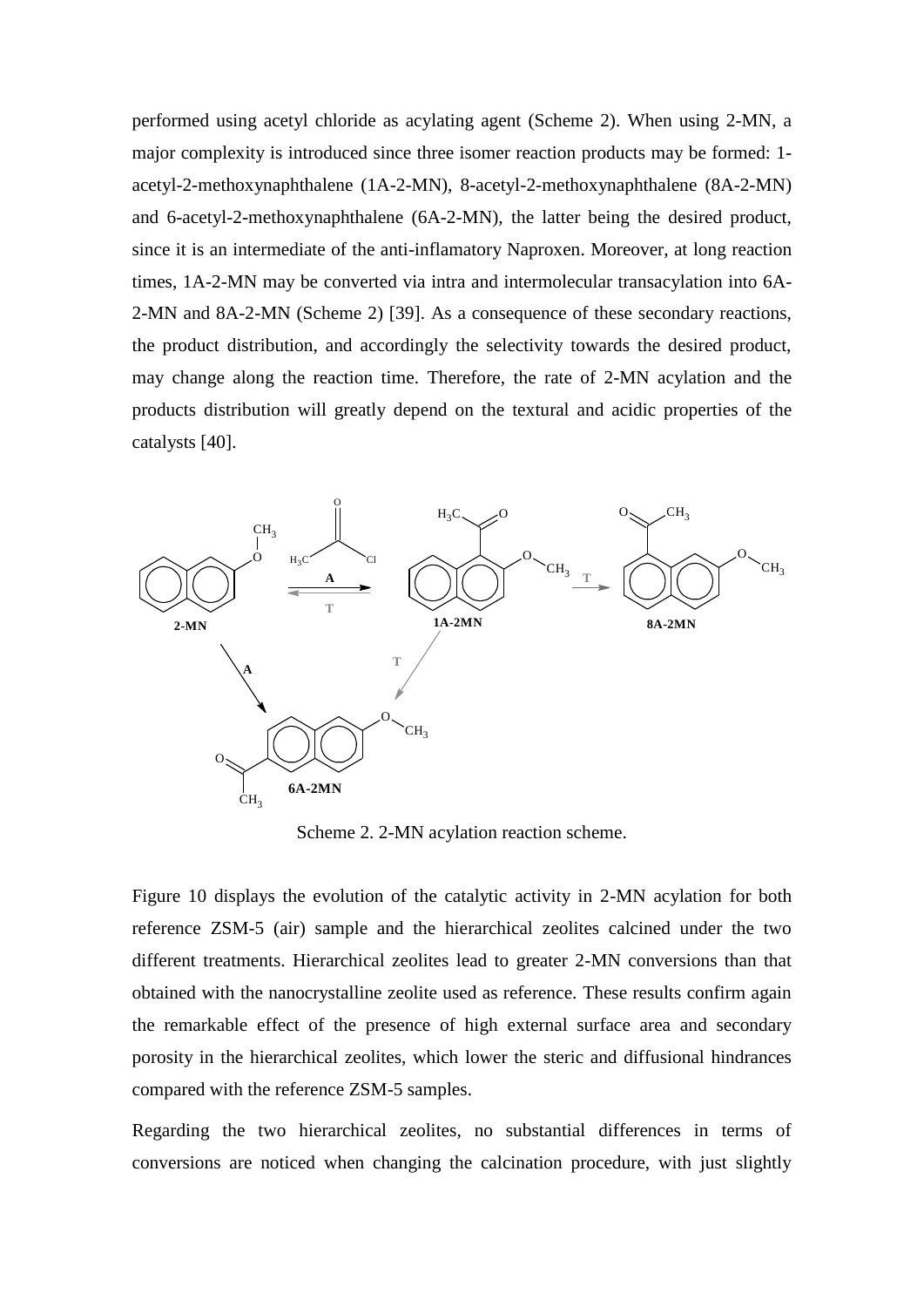performed using acetyl chloride as acylating agent (Scheme 2). When using 2-MN, a major complexity is introduced since three isomer reaction products may be formed: 1 acetyl-2-methoxynaphthalene (1A-2-MN), 8-acetyl-2-methoxynaphthalene (8A-2-MN) and 6-acetyl-2-methoxynaphthalene (6A-2-MN), the latter being the desired product, since it is an intermediate of the anti-inflamatory Naproxen. Moreover, at long reaction times, 1A-2-MN may be converted via intra and intermolecular transacylation into 6A-2-MN and 8A-2-MN (Scheme 2) [39]. As a consequence of these secondary reactions, the product distribution, and accordingly the selectivity towards the desired product, may change along the reaction time. Therefore, the rate of 2-MN acylation and the products distribution will greatly depend on the textural and acidic properties of the catalysts [40].



Scheme 2. 2-MN acylation reaction scheme.

Figure 10 displays the evolution of the catalytic activity in 2-MN acylation for both reference ZSM-5 (air) sample and the hierarchical zeolites calcined under the two different treatments. Hierarchical zeolites lead to greater 2-MN conversions than that obtained with the nanocrystalline zeolite used as reference. These results confirm again the remarkable effect of the presence of high external surface area and secondary porosity in the hierarchical zeolites, which lower the steric and diffusional hindrances compared with the reference ZSM-5 samples.

Regarding the two hierarchical zeolites, no substantial differences in terms of conversions are noticed when changing the calcination procedure, with just slightly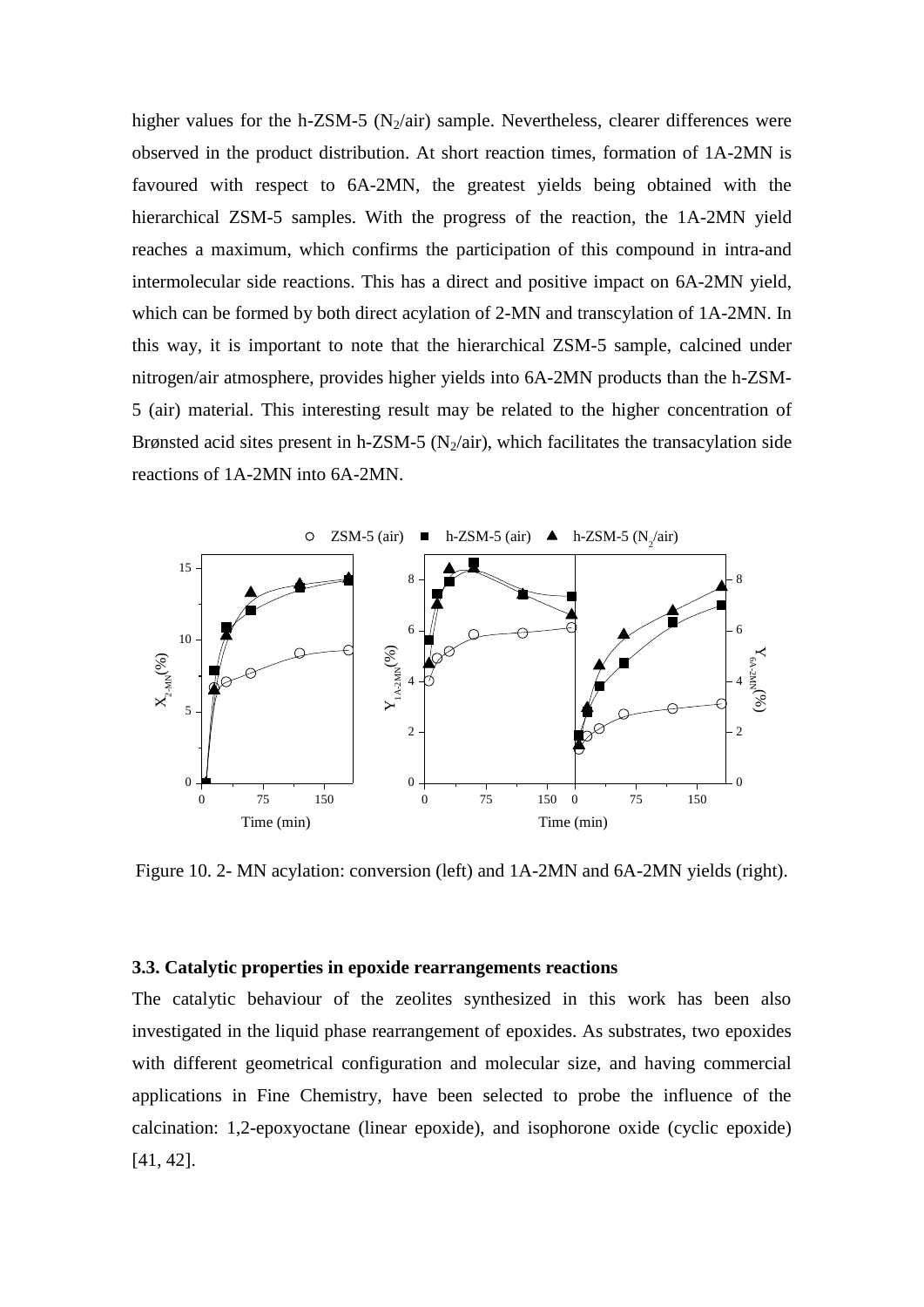higher values for the h-ZSM-5 ( $N_2$ /air) sample. Nevertheless, clearer differences were observed in the product distribution. At short reaction times, formation of 1A-2MN is favoured with respect to 6A-2MN, the greatest yields being obtained with the hierarchical ZSM-5 samples. With the progress of the reaction, the 1A-2MN yield reaches a maximum, which confirms the participation of this compound in intra-and intermolecular side reactions. This has a direct and positive impact on 6A-2MN yield, which can be formed by both direct acylation of 2-MN and transcylation of 1A-2MN. In this way, it is important to note that the hierarchical ZSM-5 sample, calcined under nitrogen/air atmosphere, provides higher yields into 6A-2MN products than the h-ZSM-5 (air) material. This interesting result may be related to the higher concentration of Brønsted acid sites present in h-ZSM-5 (N<sub>2</sub>/air), which facilitates the transacylation side reactions of 1A-2MN into 6A-2MN.



Figure 10. 2- MN acylation: conversion (left) and 1A-2MN and 6A-2MN yields (right).

#### **3.3. Catalytic properties in epoxide rearrangements reactions**

The catalytic behaviour of the zeolites synthesized in this work has been also investigated in the liquid phase rearrangement of epoxides. As substrates, two epoxides with different geometrical configuration and molecular size, and having commercial applications in Fine Chemistry, have been selected to probe the influence of the calcination: 1,2-epoxyoctane (linear epoxide), and isophorone oxide (cyclic epoxide) [41, 42].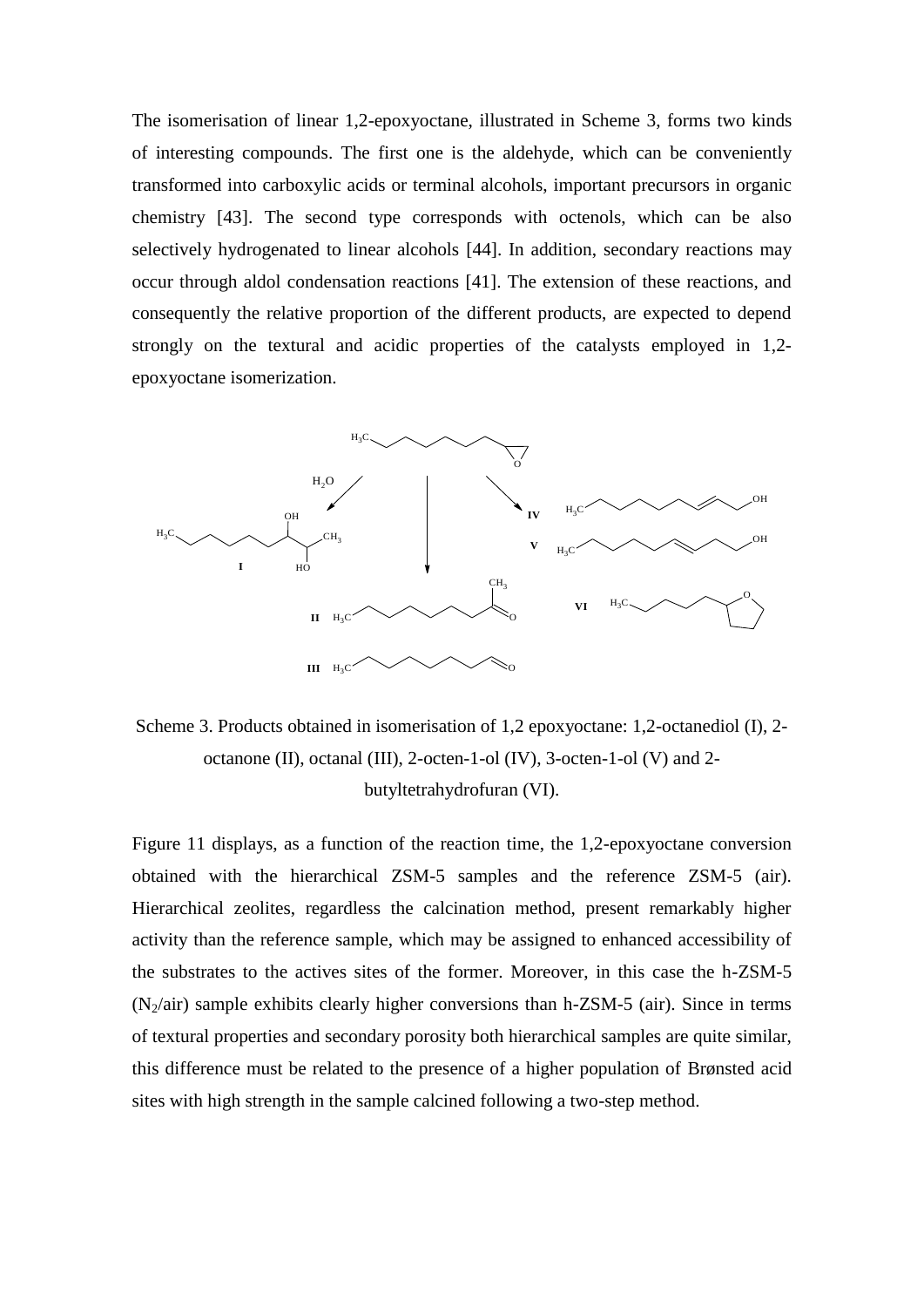The isomerisation of linear 1,2-epoxyoctane, illustrated in Scheme 3, forms two kinds of interesting compounds. The first one is the aldehyde, which can be conveniently transformed into carboxylic acids or terminal alcohols, important precursors in organic chemistry [43]. The second type corresponds with octenols, which can be also selectively hydrogenated to linear alcohols [44]. In addition, secondary reactions may occur through aldol condensation reactions [41]. The extension of these reactions, and consequently the relative proportion of the different products, are expected to depend strongly on the textural and acidic properties of the catalysts employed in 1,2 epoxyoctane isomerization.



Scheme 3. Products obtained in isomerisation of 1,2 epoxyoctane: 1,2-octanediol (I), 2 octanone (II), octanal (III), 2-octen-1-ol (IV), 3-octen-1-ol (V) and 2 butyltetrahydrofuran (VI).

Figure 11 displays, as a function of the reaction time, the 1,2-epoxyoctane conversion obtained with the hierarchical ZSM-5 samples and the reference ZSM-5 (air). Hierarchical zeolites, regardless the calcination method, present remarkably higher activity than the reference sample, which may be assigned to enhanced accessibility of the substrates to the actives sites of the former. Moreover, in this case the h-ZSM-5  $(N_2/air)$  sample exhibits clearly higher conversions than h-ZSM-5 (air). Since in terms of textural properties and secondary porosity both hierarchical samples are quite similar, this difference must be related to the presence of a higher population of Brønsted acid sites with high strength in the sample calcined following a two-step method.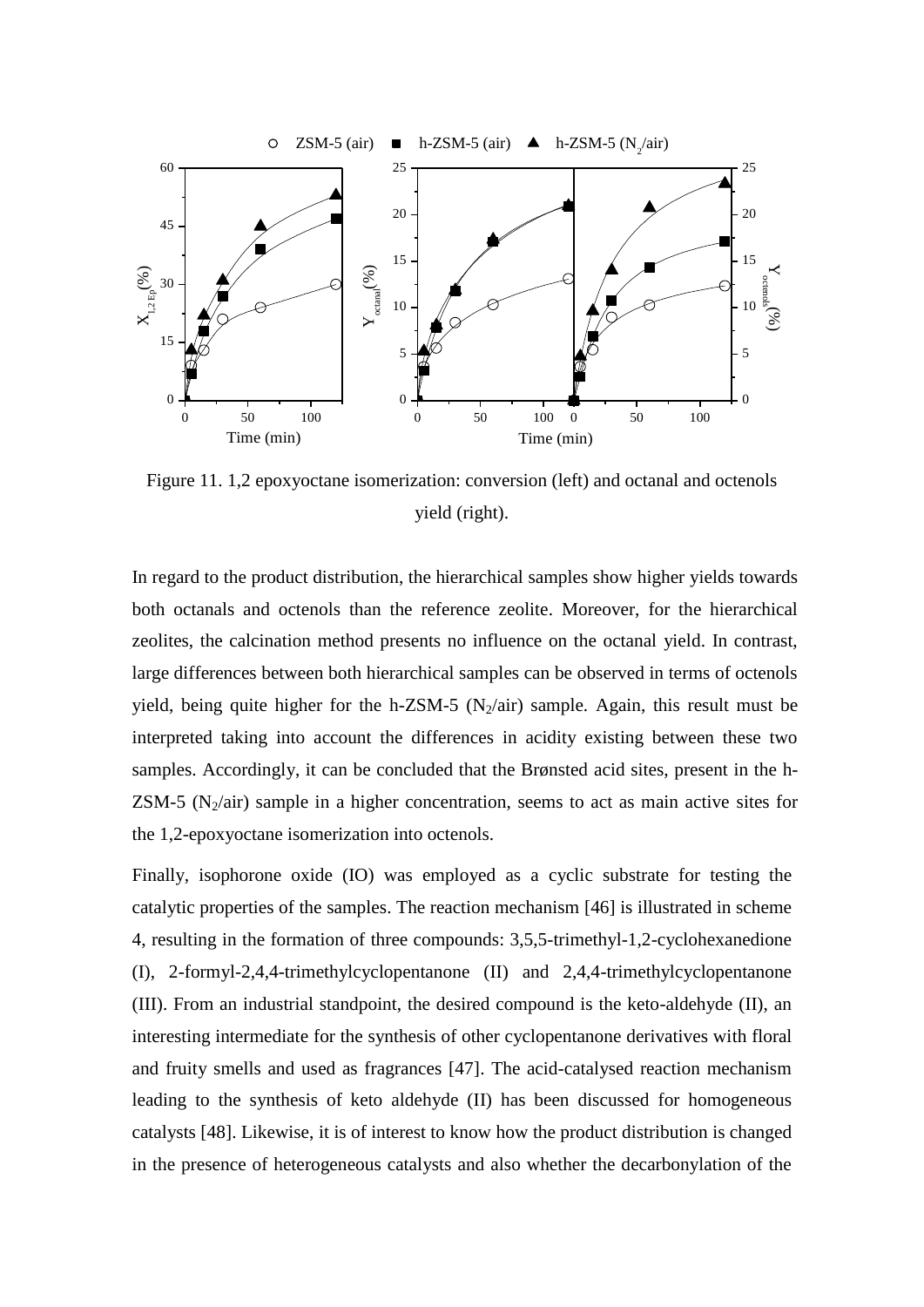

Figure 11. 1,2 epoxyoctane isomerization: conversion (left) and octanal and octenols yield (right).

In regard to the product distribution, the hierarchical samples show higher yields towards both octanals and octenols than the reference zeolite. Moreover, for the hierarchical zeolites, the calcination method presents no influence on the octanal yield. In contrast, large differences between both hierarchical samples can be observed in terms of octenols yield, being quite higher for the h-ZSM-5  $(N_2/air)$  sample. Again, this result must be interpreted taking into account the differences in acidity existing between these two samples. Accordingly, it can be concluded that the Brønsted acid sites, present in the h- $ZSM-5$  (N<sub>2</sub>/air) sample in a higher concentration, seems to act as main active sites for the 1,2-epoxyoctane isomerization into octenols.

Finally, isophorone oxide (IO) was employed as a cyclic substrate for testing the catalytic properties of the samples. The reaction mechanism [46] is illustrated in scheme 4, resulting in the formation of three compounds: 3,5,5-trimethyl-1,2-cyclohexanedione (I), 2-formyl-2,4,4-trimethylcyclopentanone (II) and 2,4,4-trimethylcyclopentanone (III). From an industrial standpoint, the desired compound is the keto-aldehyde (II), an interesting intermediate for the synthesis of other cyclopentanone derivatives with floral and fruity smells and used as fragrances [47]. The acid-catalysed reaction mechanism leading to the synthesis of keto aldehyde (II) has been discussed for homogeneous catalysts [48]. Likewise, it is of interest to know how the product distribution is changed in the presence of heterogeneous catalysts and also whether the decarbonylation of the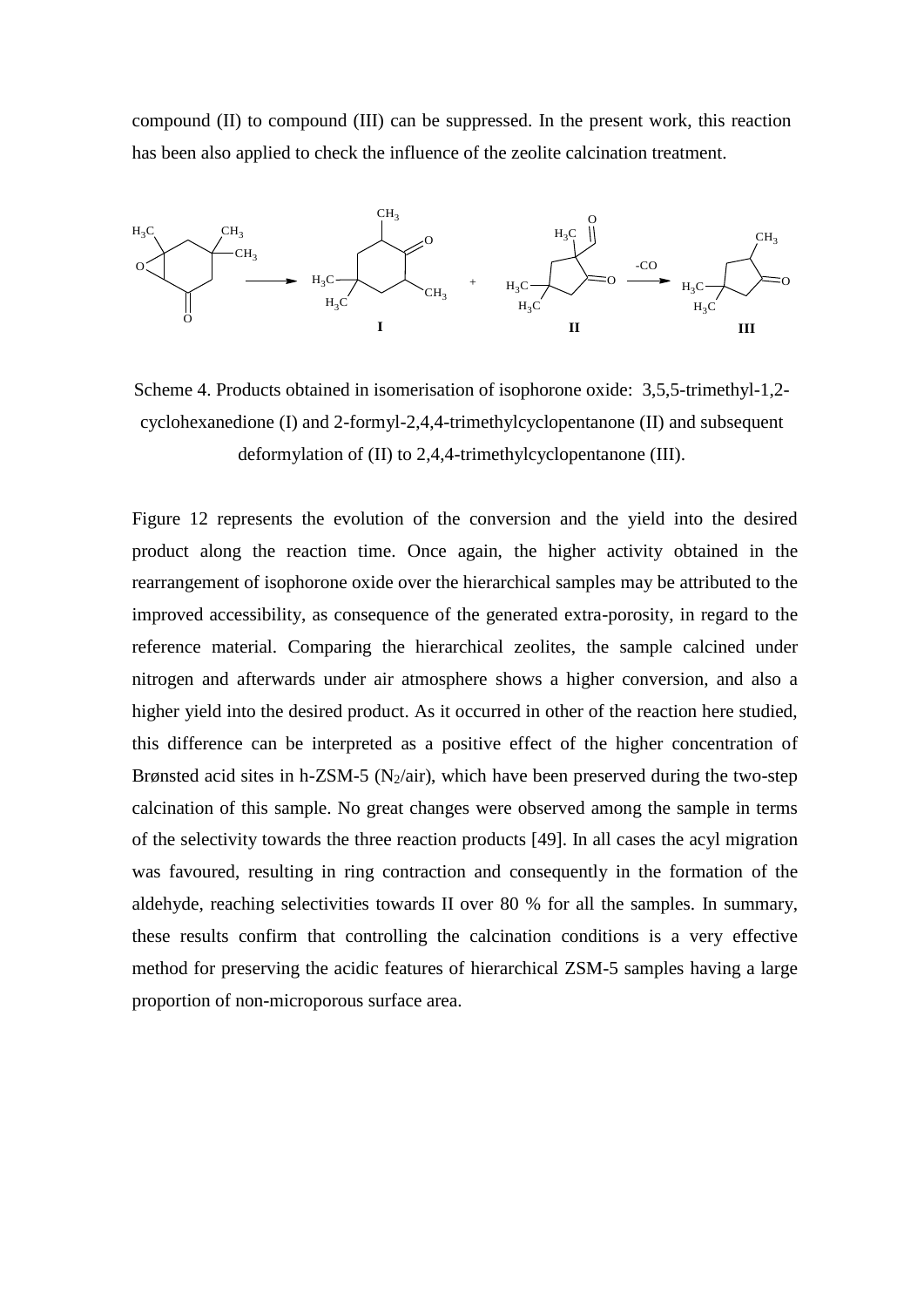compound (II) to compound (III) can be suppressed. In the present work, this reaction has been also applied to check the influence of the zeolite calcination treatment.



Scheme 4. Products obtained in isomerisation of isophorone oxide: 3,5,5-trimethyl-1,2 cyclohexanedione (I) and 2-formyl-2,4,4-trimethylcyclopentanone (II) and subsequent deformylation of (II) to 2,4,4-trimethylcyclopentanone (III).

Figure 12 represents the evolution of the conversion and the yield into the desired product along the reaction time. Once again, the higher activity obtained in the rearrangement of isophorone oxide over the hierarchical samples may be attributed to the improved accessibility, as consequence of the generated extra-porosity, in regard to the reference material. Comparing the hierarchical zeolites, the sample calcined under nitrogen and afterwards under air atmosphere shows a higher conversion, and also a higher yield into the desired product. As it occurred in other of the reaction here studied, this difference can be interpreted as a positive effect of the higher concentration of Brønsted acid sites in h-ZSM-5 ( $N_2$ /air), which have been preserved during the two-step calcination of this sample. No great changes were observed among the sample in terms of the selectivity towards the three reaction products [49]. In all cases the acyl migration was favoured, resulting in ring contraction and consequently in the formation of the aldehyde, reaching selectivities towards II over 80 % for all the samples. In summary, these results confirm that controlling the calcination conditions is a very effective method for preserving the acidic features of hierarchical ZSM-5 samples having a large proportion of non-microporous surface area.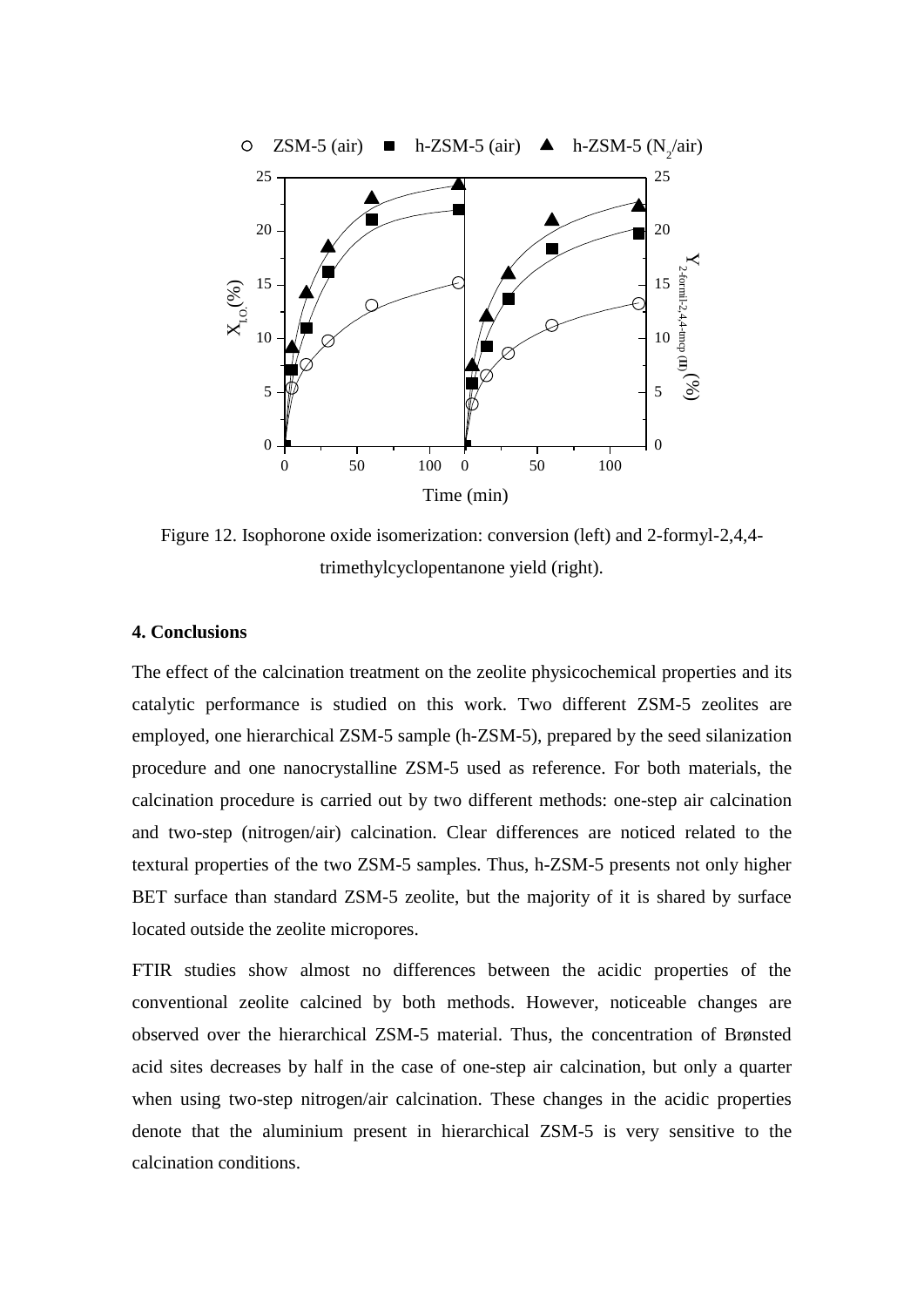

Figure 12. Isophorone oxide isomerization: conversion (left) and 2-formyl-2,4,4 trimethylcyclopentanone yield (right).

# **4. Conclusions**

The effect of the calcination treatment on the zeolite physicochemical properties and its catalytic performance is studied on this work. Two different ZSM-5 zeolites are employed, one hierarchical ZSM-5 sample (h-ZSM-5), prepared by the seed silanization procedure and one nanocrystalline ZSM-5 used as reference. For both materials, the calcination procedure is carried out by two different methods: one-step air calcination and two-step (nitrogen/air) calcination. Clear differences are noticed related to the textural properties of the two ZSM-5 samples. Thus, h-ZSM-5 presents not only higher BET surface than standard ZSM-5 zeolite, but the majority of it is shared by surface located outside the zeolite micropores.

FTIR studies show almost no differences between the acidic properties of the conventional zeolite calcined by both methods. However, noticeable changes are observed over the hierarchical ZSM-5 material. Thus, the concentration of Brønsted acid sites decreases by half in the case of one-step air calcination, but only a quarter when using two-step nitrogen/air calcination. These changes in the acidic properties denote that the aluminium present in hierarchical ZSM-5 is very sensitive to the calcination conditions.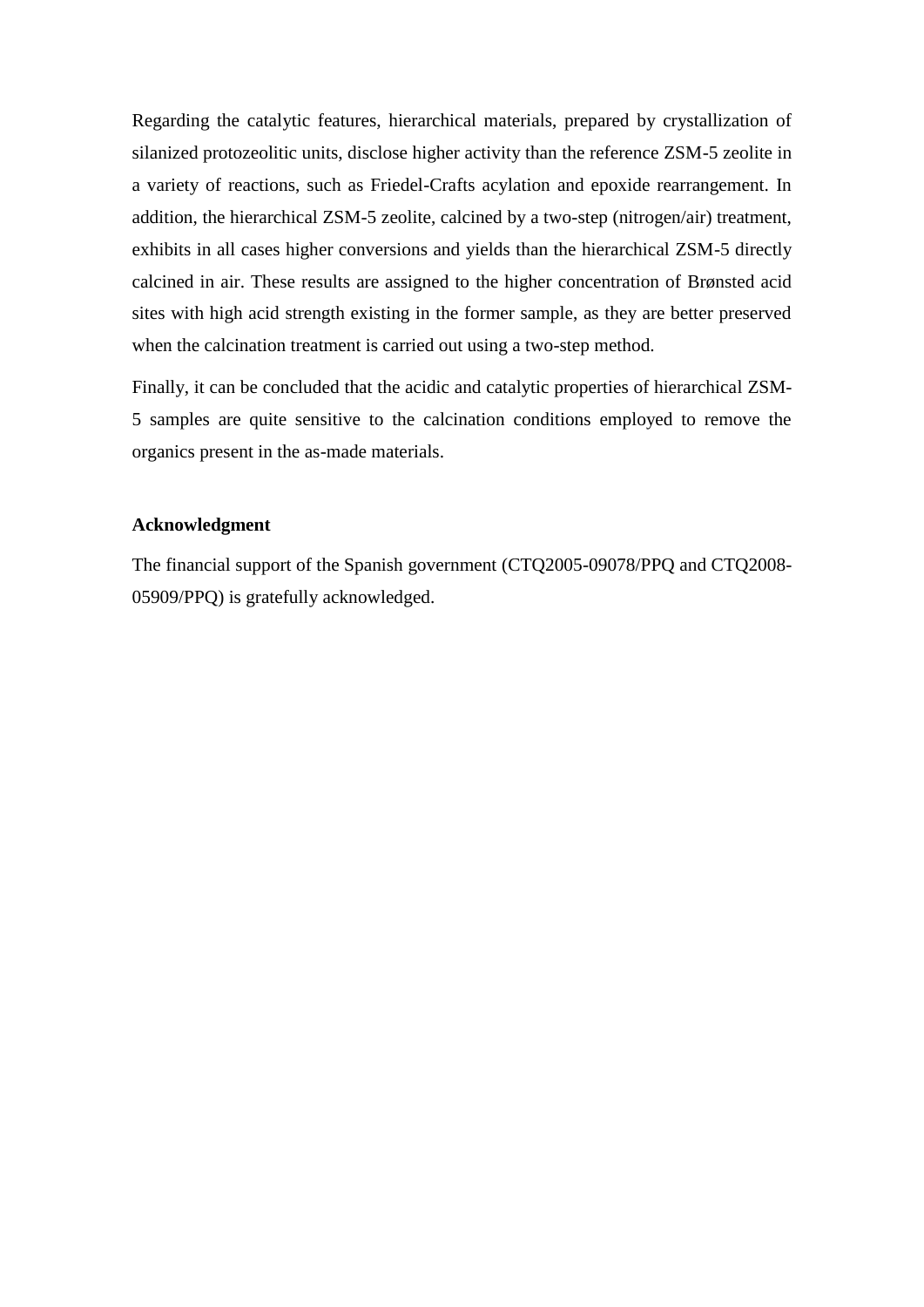Regarding the catalytic features, hierarchical materials, prepared by crystallization of silanized protozeolitic units, disclose higher activity than the reference ZSM-5 zeolite in a variety of reactions, such as Friedel-Crafts acylation and epoxide rearrangement. In addition, the hierarchical ZSM-5 zeolite, calcined by a two-step (nitrogen/air) treatment, exhibits in all cases higher conversions and yields than the hierarchical ZSM-5 directly calcined in air. These results are assigned to the higher concentration of Brønsted acid sites with high acid strength existing in the former sample, as they are better preserved when the calcination treatment is carried out using a two-step method.

Finally, it can be concluded that the acidic and catalytic properties of hierarchical ZSM-5 samples are quite sensitive to the calcination conditions employed to remove the organics present in the as-made materials.

# **Acknowledgment**

The financial support of the Spanish government (CTQ2005-09078/PPQ and CTQ2008- 05909/PPQ) is gratefully acknowledged.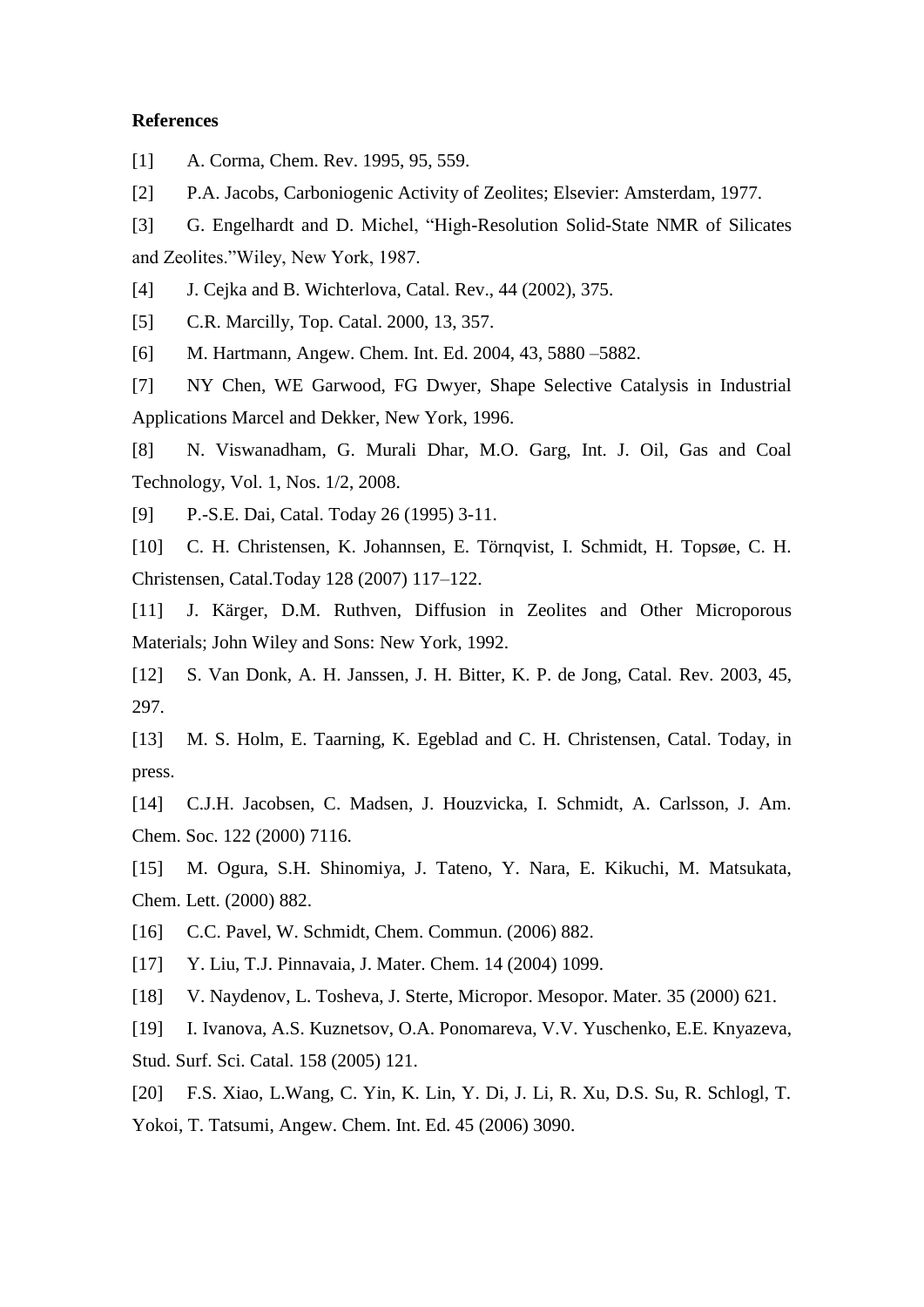## **References**

[1] A. Corma, Chem. Rev. 1995, 95, 559.

[2] P.A. Jacobs, Carboniogenic Activity of Zeolites; Elsevier: Amsterdam, 1977.

[3] G. Engelhardt and D. Michel, "High-Resolution Solid-State NMR of Silicates and Zeolites."Wiley, New York, 1987.

[4] J. Cejka and B. Wichterlova, Catal. Rev., 44 (2002), 375.

[5] C.R. Marcilly, Top. Catal. 2000, 13, 357.

[6] M. Hartmann, Angew. Chem. Int. Ed. 2004, 43, 5880 –5882.

[7] NY Chen, WE Garwood, FG Dwyer, Shape Selective Catalysis in Industrial Applications Marcel and Dekker, New York, 1996.

[8] N. Viswanadham, G. Murali Dhar, M.O. Garg, Int. J. Oil, Gas and Coal Technology, Vol. 1, Nos. 1/2, 2008.

[9] P.-S.E. Dai, Catal. Today 26 (1995) 3-11.

[10] C. H. Christensen, K. Johannsen, E. Törnqvist, I. Schmidt, H. Topsøe, C. H. Christensen, Catal.Today 128 (2007) 117–122.

[11] J. Kärger, D.M. Ruthven, Diffusion in Zeolites and Other Microporous Materials; John Wiley and Sons: New York, 1992.

[12] S. Van Donk, A. H. Janssen, J. H. Bitter, K. P. de Jong, Catal. Rev. 2003, 45, 297.

[13] M. S. Holm, E. Taarning, K. Egeblad and C. H. Christensen, Catal. Today, in press.

[14] C.J.H. Jacobsen, C. Madsen, J. Houzvicka, I. Schmidt, A. Carlsson, J. Am. Chem. Soc. 122 (2000) 7116.

[15] M. Ogura, S.H. Shinomiya, J. Tateno, Y. Nara, E. Kikuchi, M. Matsukata, Chem. Lett. (2000) 882.

[16] C.C. Pavel, W. Schmidt, Chem. Commun. (2006) 882.

[17] Y. Liu, T.J. Pinnavaia, J. Mater. Chem. 14 (2004) 1099.

[18] V. Naydenov, L. Tosheva, J. Sterte, Micropor. Mesopor. Mater. 35 (2000) 621.

[19] I. Ivanova, A.S. Kuznetsov, O.A. Ponomareva, V.V. Yuschenko, E.E. Knyazeva, Stud. Surf. Sci. Catal. 158 (2005) 121.

[20] F.S. Xiao, L.Wang, C. Yin, K. Lin, Y. Di, J. Li, R. Xu, D.S. Su, R. Schlogl, T. Yokoi, T. Tatsumi, Angew. Chem. Int. Ed. 45 (2006) 3090.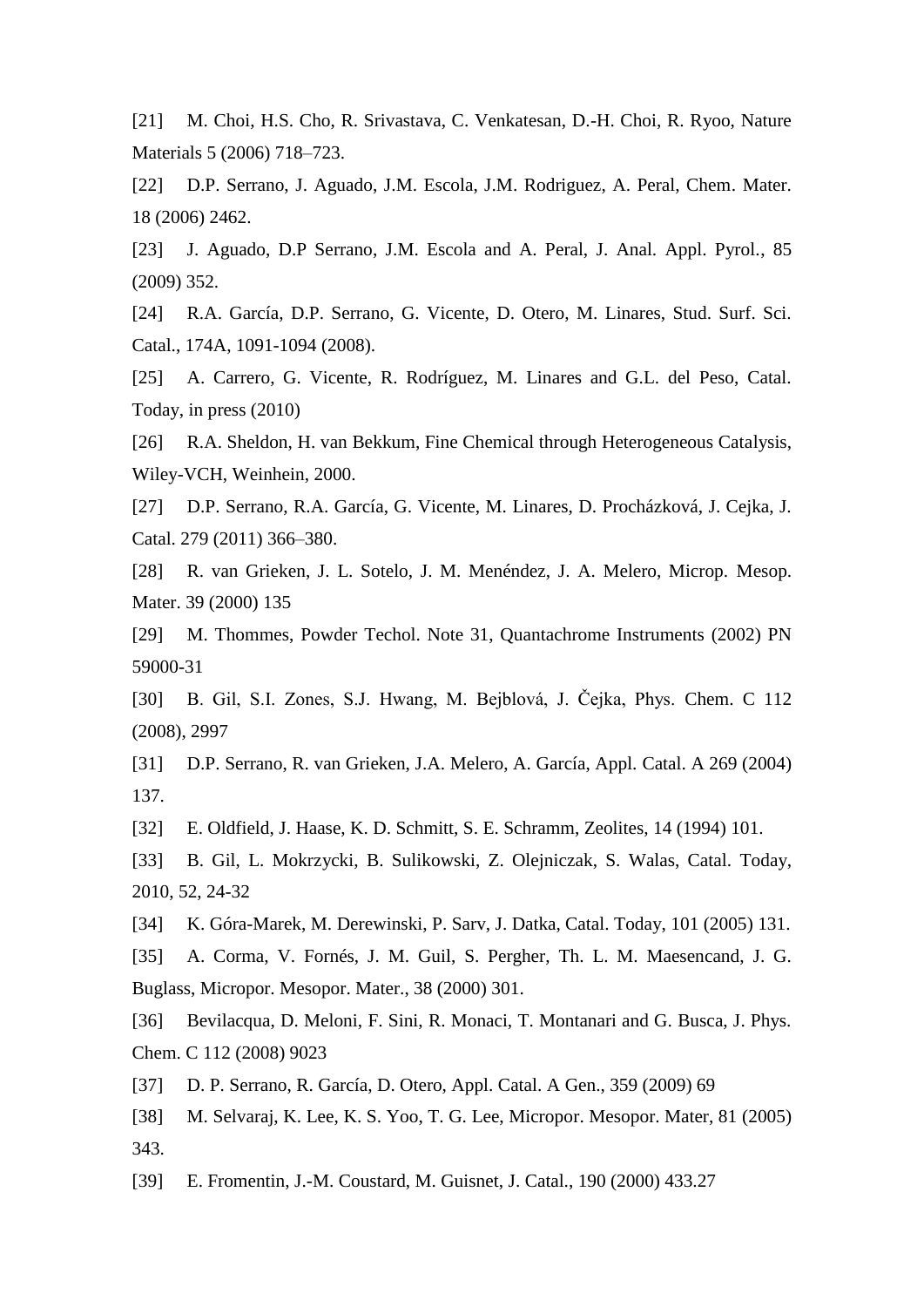[21] M. Choi, H.S. Cho, R. Srivastava, C. Venkatesan, D.-H. Choi, R. Ryoo, Nature Materials 5 (2006) 718–723.

[22] D.P. Serrano, J. Aguado, J.M. Escola, J.M. Rodriguez, A. Peral, Chem. Mater. 18 (2006) 2462.

[23] J. Aguado, D.P Serrano, J.M. Escola and A. Peral, J. Anal. Appl. Pyrol., 85 (2009) 352.

[24] R.A. García, D.P. Serrano, G. Vicente, D. Otero, M. Linares, Stud. Surf. Sci. Catal., 174A, 1091-1094 (2008).

[25] A. Carrero, G. Vicente, R. Rodríguez, M. Linares and G.L. del Peso, Catal. Today, in press (2010)

[26] R.A. Sheldon, H. van Bekkum, Fine Chemical through Heterogeneous Catalysis, Wiley-VCH, Weinhein, 2000.

[27] D.P. Serrano, R.A. García, G. Vicente, M. Linares, D. Procházková, J. Cejka, J. Catal. 279 (2011) 366–380.

[28] R. van Grieken, J. L. Sotelo, J. M. Menéndez, J. A. Melero, Microp. Mesop. Mater. 39 (2000) 135

[29] M. Thommes, Powder Techol. Note 31, Quantachrome Instruments (2002) PN 59000-31

[30] B. Gil, S.I. Zones, S.J. Hwang, M. Bejblová, J. Čejka, Phys. Chem. C 112 (2008), 2997

[31] D.P. Serrano, R. van Grieken, J.A. Melero, A. García, Appl. Catal. A 269 (2004) 137.

[32] E. Oldfield, J. Haase, K. D. Schmitt, S. E. Schramm, Zeolites, 14 (1994) 101.

[33] B. Gil, L. Mokrzycki, B. Sulikowski, Z. Olejniczak, S. Walas, Catal. Today, 2010, 52, 24-32

[34] K. Góra-Marek, M. Derewinski, P. Sarv, J. Datka, Catal. Today, 101 (2005) 131.

[35] A. Corma, V. Fornés, J. M. Guil, S. Pergher, Th. L. M. Maesencand, J. G. Buglass, Micropor. Mesopor. Mater., 38 (2000) 301.

[36] Bevilacqua, D. Meloni, F. Sini, R. Monaci, T. Montanari and G. Busca, J. Phys. Chem. C 112 (2008) 9023

[37] D. P. Serrano, R. García, D. Otero, Appl. Catal. A Gen., 359 (2009) 69

[38] M. Selvaraj, K. Lee, K. S. Yoo, T. G. Lee, Micropor. Mesopor. Mater, 81 (2005) 343.

[39] E. Fromentin, J.-M. Coustard, M. Guisnet, J. Catal., 190 (2000) 433.27